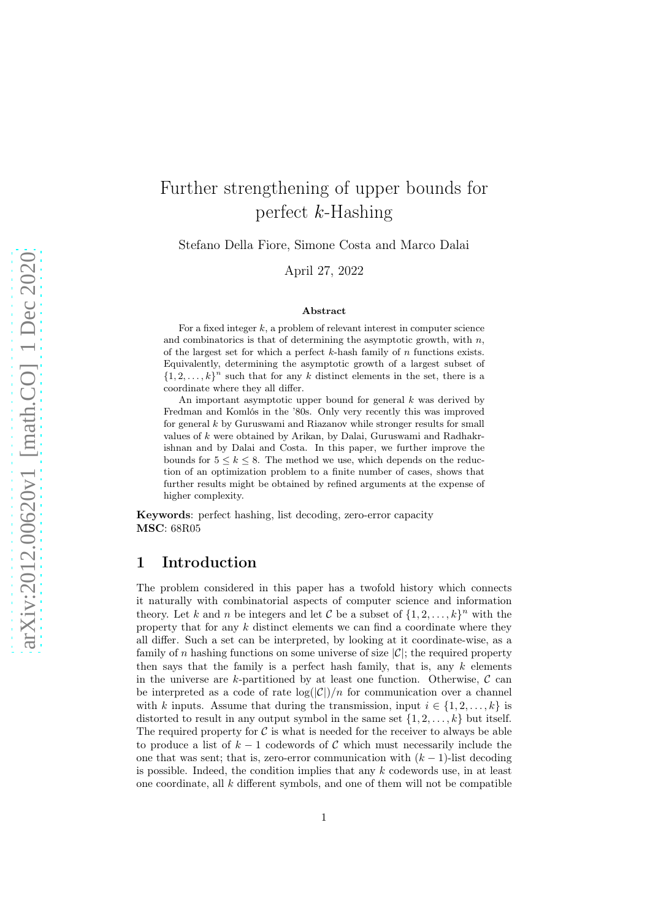# Further strengthening of upper bounds for perfect  $k$ -Hashing

Stefano Della Fiore, Simone Costa and Marco Dalai

April 27, 2022

#### Abstract

For a fixed integer  $k$ , a problem of relevant interest in computer science and combinatorics is that of determining the asymptotic growth, with  $n$ , of the largest set for which a perfect  $k$ -hash family of  $n$  functions exists. Equivalently, determining the asymptotic growth of a largest subset of  $\{1, 2, \ldots, k\}^n$  such that for any k distinct elements in the set, there is a coordinate where they all differ.

An important asymptotic upper bound for general  $k$  was derived by Fredman and Komlós in the '80s. Only very recently this was improved for general  $k$  by Guruswami and Riazanov while stronger results for small values of k were obtained by Arikan, by Dalai, Guruswami and Radhakrishnan and by Dalai and Costa. In this paper, we further improve the bounds for  $5 \leq k \leq 8$ . The method we use, which depends on the reduction of an optimization problem to a finite number of cases, shows that further results might be obtained by refined arguments at the expense of higher complexity.

Keywords: perfect hashing, list decoding, zero-error capacity MSC: 68R05

# 1 Introduction

The problem considered in this paper has a twofold history which connects it naturally with combinatorial aspects of computer science and information theory. Let k and n be integers and let C be a subset of  $\{1, 2, \ldots, k\}^n$  with the property that for any  $k$  distinct elements we can find a coordinate where they all differ. Such a set can be interpreted, by looking at it coordinate-wise, as a family of n hashing functions on some universe of size  $|\mathcal{C}|$ ; the required property then says that the family is a perfect hash family, that is, any  $k$  elements in the universe are k-partitioned by at least one function. Otherwise,  $\mathcal{C}$  can be interpreted as a code of rate  $log(|\mathcal{C}|)/n$  for communication over a channel with k inputs. Assume that during the transmission, input  $i \in \{1, 2, \ldots, k\}$  is distorted to result in any output symbol in the same set  $\{1, 2, \ldots, k\}$  but itself. The required property for  $\mathcal C$  is what is needed for the receiver to always be able to produce a list of  $k-1$  codewords of C which must necessarily include the one that was sent; that is, zero-error communication with  $(k-1)$ -list decoding is possible. Indeed, the condition implies that any  $k$  codewords use, in at least one coordinate, all  $k$  different symbols, and one of them will not be compatible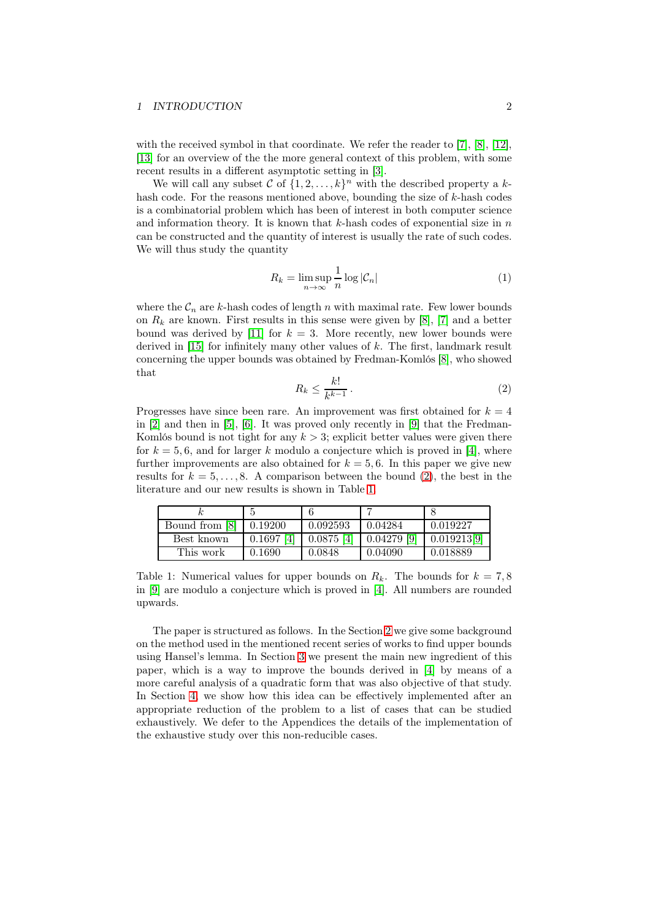### 1 INTRODUCTION 2

with the received symbol in that coordinate. We refer the reader to [\[7\]](#page-17-0), [\[8\]](#page-17-1), [\[12\]](#page-17-2), [\[13\]](#page-17-3) for an overview of the the more general context of this problem, with some recent results in a different asymptotic setting in [\[3\]](#page-17-4).

We will call any subset  $C$  of  $\{1, 2, ..., k\}^n$  with the described property a khash code. For the reasons mentioned above, bounding the size of k-hash codes is a combinatorial problem which has been of interest in both computer science and information theory. It is known that  $k$ -hash codes of exponential size in  $n$ can be constructed and the quantity of interest is usually the rate of such codes. We will thus study the quantity

$$
R_k = \limsup_{n \to \infty} \frac{1}{n} \log |\mathcal{C}_n| \tag{1}
$$

where the  $\mathcal{C}_n$  are k-hash codes of length n with maximal rate. Few lower bounds on  $R_k$  are known. First results in this sense were given by [\[8\]](#page-17-1), [\[7\]](#page-17-0) and a better bound was derived by [\[11\]](#page-17-5) for  $k = 3$ . More recently, new lower bounds were derived in  $[15]$  for infinitely many other values of k. The first, landmark result concerning the upper bounds was obtained by Fredman-Komlós [\[8\]](#page-17-1), who showed that

$$
R_k \le \frac{k!}{k^{k-1}} \,. \tag{2}
$$

<span id="page-1-0"></span>Progresses have since been rare. An improvement was first obtained for  $k = 4$ in [\[2\]](#page-17-7) and then in [\[5\]](#page-17-8), [\[6\]](#page-17-9). It was proved only recently in [\[9\]](#page-17-10) that the Fredman-Komlós bound is not tight for any  $k > 3$ ; explicit better values were given there for  $k = 5, 6$ , and for larger k modulo a conjecture which is proved in [\[4\]](#page-17-11), where further improvements are also obtained for  $k = 5, 6$ . In this paper we give new results for  $k = 5, \ldots, 8$ . A comparison between the bound [\(2\)](#page-1-0), the best in the literature and our new results is shown in Table [1.](#page-1-1)

| Bound from [8] | 0.19200      | 0.092593     | 0.04284       | 0.019227    |
|----------------|--------------|--------------|---------------|-------------|
| Best known     | $0.1697$ [4] | $0.0875$ [4] | $0.04279$ [9] | 0.019213[9] |
| This work      | 0.1690       | 0.0848       | 0.04090       | 0.018889    |

<span id="page-1-1"></span>Table 1: Numerical values for upper bounds on  $R_k$ . The bounds for  $k = 7, 8$ in [\[9\]](#page-17-10) are modulo a conjecture which is proved in [\[4\]](#page-17-11). All numbers are rounded upwards.

The paper is structured as follows. In the Section [2](#page-2-0) we give some background on the method used in the mentioned recent series of works to find upper bounds using Hansel's lemma. In Section [3](#page-5-0) we present the main new ingredient of this paper, which is a way to improve the bounds derived in [\[4\]](#page-17-11) by means of a more careful analysis of a quadratic form that was also objective of that study. In Section [4,](#page-7-0) we show how this idea can be effectively implemented after an appropriate reduction of the problem to a list of cases that can be studied exhaustively. We defer to the Appendices the details of the implementation of the exhaustive study over this non-reducible cases.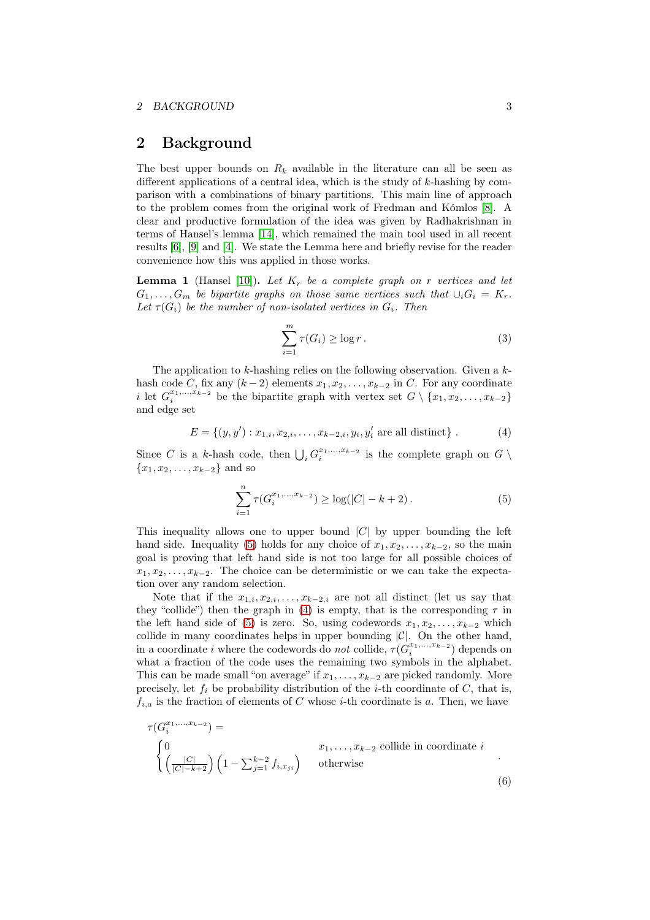# <span id="page-2-0"></span>2 Background

The best upper bounds on  $R_k$  available in the literature can all be seen as different applications of a central idea, which is the study of  $k$ -hashing by comparison with a combinations of binary partitions. This main line of approach to the problem comes from the original work of Fredman and Kómlos [\[8\]](#page-17-1). A clear and productive formulation of the idea was given by Radhakrishnan in terms of Hansel's lemma [\[14\]](#page-17-12), which remained the main tool used in all recent results [\[6\]](#page-17-9), [\[9\]](#page-17-10) and [\[4\]](#page-17-11). We state the Lemma here and briefly revise for the reader convenience how this was applied in those works.

**Lemma 1** (Hansel [\[10\]](#page-17-13)). Let  $K_r$  be a complete graph on r vertices and let  $G_1, \ldots, G_m$  be bipartite graphs on those same vertices such that  $\cup_i G_i = K_r$ . Let  $\tau(G_i)$  be the number of non-isolated vertices in  $G_i$ . Then

$$
\sum_{i=1}^{m} \tau(G_i) \ge \log r. \tag{3}
$$

The application to  $k$ -hashing relies on the following observation. Given a  $k$ hash code C, fix any  $(k-2)$  elements  $x_1, x_2, \ldots, x_{k-2}$  in C. For any coordinate i let  $G_i^{x_1,\ldots,x_{k-2}}$  be the bipartite graph with vertex set  $G \setminus \{x_1,x_2,\ldots,x_{k-2}\}$ and edge set

<span id="page-2-2"></span>
$$
E = \{(y, y') : x_{1,i}, x_{2,i}, \dots, x_{k-2,i}, y_i, y'_i \text{ are all distinct}\}.
$$
 (4)

Since C is a k-hash code, then  $\bigcup_i G_i^{x_1,\ldots,x_{k-2}}$  is the complete graph on  $G \setminus$  ${x_1, x_2, \ldots, x_{k-2}}$  and so

<span id="page-2-1"></span>
$$
\sum_{i=1}^{n} \tau(G_i^{x_1, \dots, x_{k-2}}) \ge \log(|C| - k + 2).
$$
 (5)

This inequality allows one to upper bound  $|C|$  by upper bounding the left hand side. Inequality [\(5\)](#page-2-1) holds for any choice of  $x_1, x_2, \ldots, x_{k-2}$ , so the main goal is proving that left hand side is not too large for all possible choices of  $x_1, x_2, \ldots, x_{k-2}$ . The choice can be deterministic or we can take the expectation over any random selection.

Note that if the  $x_{1,i}, x_{2,i}, \ldots, x_{k-2,i}$  are not all distinct (let us say that they "collide") then the graph in [\(4\)](#page-2-2) is empty, that is the corresponding  $\tau$  in the left hand side of [\(5\)](#page-2-1) is zero. So, using codewords  $x_1, x_2, \ldots, x_{k-2}$  which collide in many coordinates helps in upper bounding  $|\mathcal{C}|$ . On the other hand, in a coordinate i where the codewords do not collide,  $\tau(G_i^{x_1,...,x_{k-2}})$  depends on what a fraction of the code uses the remaining two symbols in the alphabet. This can be made small "on average" if  $x_1, \ldots, x_{k-2}$  are picked randomly. More precisely, let  $f_i$  be probability distribution of the *i*-th coordinate of C, that is,  $f_{i,a}$  is the fraction of elements of C whose *i*-th coordinate is a. Then, we have

$$
\tau(G_i^{x_1,\ldots,x_{k-2}}) = \n\begin{cases}\n0 & x_1, \ldots, x_{k-2} \text{ collide in coordinate } i \\
\left(\frac{|C|}{|C|-k+2}\right) \left(1 - \sum_{j=1}^{k-2} f_{i,x_{ji}}\right) & \text{otherwise}\n\end{cases}
$$
\n(6)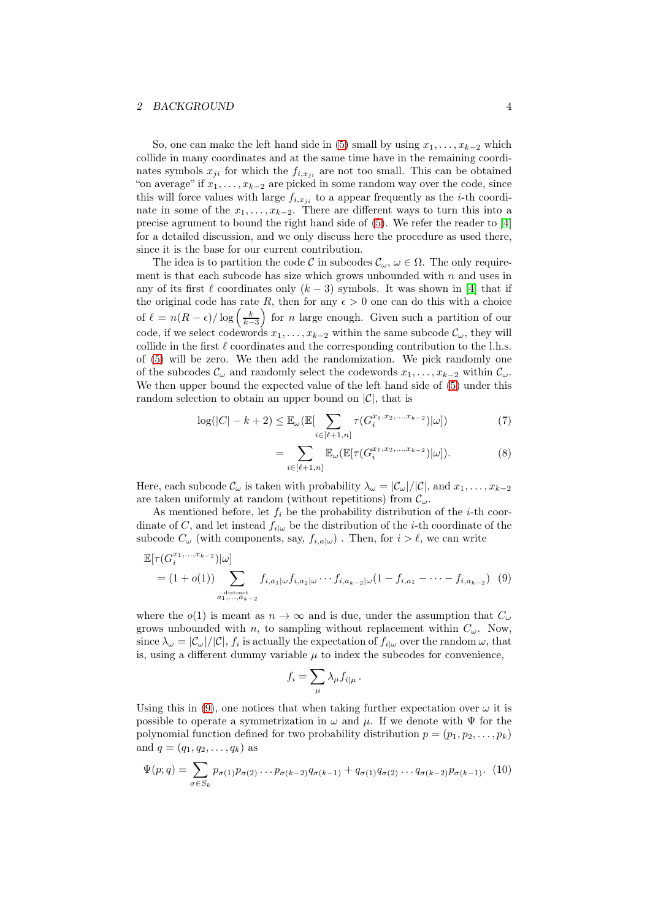## 2 BACKGROUND 4

So, one can make the left hand side in [\(5\)](#page-2-1) small by using  $x_1, \ldots, x_{k-2}$  which collide in many coordinates and at the same time have in the remaining coordinates symbols  $x_{ji}$  for which the  $f_{i,x_{ji}}$  are not too small. This can be obtained "on average" if  $x_1, \ldots, x_{k-2}$  are picked in some random way over the code, since this will force values with large  $f_{i,x_{ji}}$  to a appear frequently as the *i*-th coordinate in some of the  $x_1, \ldots, x_{k-2}$ . There are different ways to turn this into a precise agrument to bound the right hand side of [\(5\)](#page-2-1). We refer the reader to [\[4\]](#page-17-11) for a detailed discussion, and we only discuss here the procedure as used there, since it is the base for our current contribution.

The idea is to partition the code C in subcodes  $\mathcal{C}_{\omega}$ ,  $\omega \in \Omega$ . The only requirement is that each subcode has size which grows unbounded with  $n$  and uses in any of its first  $\ell$  coordinates only  $(k-3)$  symbols. It was shown in [\[4\]](#page-17-11) that if the original code has rate R, then for any  $\epsilon > 0$  one can do this with a choice of  $\ell = n(R - \epsilon) / \log \left( \frac{k}{k-3} \right)$ for *n* large enough. Given such a partition of our code, if we select codewords  $x_1, \ldots, x_{k-2}$  within the same subcode  $\mathcal{C}_{\omega}$ , they will collide in the first  $\ell$  coordinates and the corresponding contribution to the l.h.s. of [\(5\)](#page-2-1) will be zero. We then add the randomization. We pick randomly one of the subcodes  $\mathcal{C}_{\omega}$  and randomly select the codewords  $x_1, \ldots, x_{k-2}$  within  $\mathcal{C}_{\omega}$ . We then upper bound the expected value of the left hand side of [\(5\)](#page-2-1) under this random selection to obtain an upper bound on  $|\mathcal{C}|$ , that is

$$
\log(|C| - k + 2) \leq \mathbb{E}_{\omega}(\mathbb{E}[\sum_{i \in [\ell+1,n]} \tau(G_i^{x_1, x_2, ..., x_{k-2}})|\omega])
$$
(7)

$$
= \sum_{i \in [\ell+1,n]} \mathbb{E}_{\omega}(\mathbb{E}[\tau(G_i^{x_1,x_2,...,x_{k-2}})|\omega]). \tag{8}
$$

Here, each subcode  $\mathcal{C}_{\omega}$  is taken with probability  $\lambda_{\omega} = |\mathcal{C}_{\omega}|/|\mathcal{C}|$ , and  $x_1, \ldots, x_{k-2}$ are taken uniformly at random (without repetitions) from  $\mathcal{C}_{\omega}$ .

As mentioned before, let  $f_i$  be the probability distribution of the *i*-th coordinate of C, and let instead  $f_{i|\omega}$  be the distribution of the *i*-th coordinate of the subcode  $C_{\omega}$  (with components, say,  $f_{i,a|\omega}$ ). Then, for  $i > \ell$ , we can write

$$
\mathbb{E}[\tau(G_i^{x_1,\ldots,x_{k-2}})|\omega]
$$
\n
$$
= (1+o(1)) \sum_{\substack{a_1,\ldots,a_{k-2} \\ a_1,\ldots,a_{k-2}}} f_{i,a_1|\omega} f_{i,a_2|\omega} \cdots f_{i,a_{k-2}|\omega} (1-f_{i,a_1} - \cdots - f_{i,a_{k-2}}) \tag{9}
$$

where the  $o(1)$  is meant as  $n \to \infty$  and is due, under the assumption that  $C_{\omega}$ grows unbounded with n, to sampling without replacement within  $C_{\omega}$ . Now, since  $\lambda_{\omega} = |\mathcal{C}_{\omega}|/|\mathcal{C}|$ ,  $f_i$  is actually the expectation of  $f_{i|\omega}$  over the random  $\omega$ , that is, using a different dummy variable  $\mu$  to index the subcodes for convenience,

<span id="page-3-0"></span>
$$
f_i = \sum_{\mu} \lambda_{\mu} f_{i|\mu} .
$$

Using this in [\(9\)](#page-3-0), one notices that when taking further expectation over  $\omega$  it is possible to operate a symmetrization in  $\omega$  and  $\mu$ . If we denote with  $\Psi$  for the polynomial function defined for two probability distribution  $p = (p_1, p_2, \ldots, p_k)$ and  $q = (q_1, q_2, \ldots, q_k)$  as

$$
\Psi(p;q) = \sum_{\sigma \in S_k} p_{\sigma(1)} p_{\sigma(2)} \dots p_{\sigma(k-2)} q_{\sigma(k-1)} + q_{\sigma(1)} q_{\sigma(2)} \dots q_{\sigma(k-2)} p_{\sigma(k-1)}.
$$
 (10)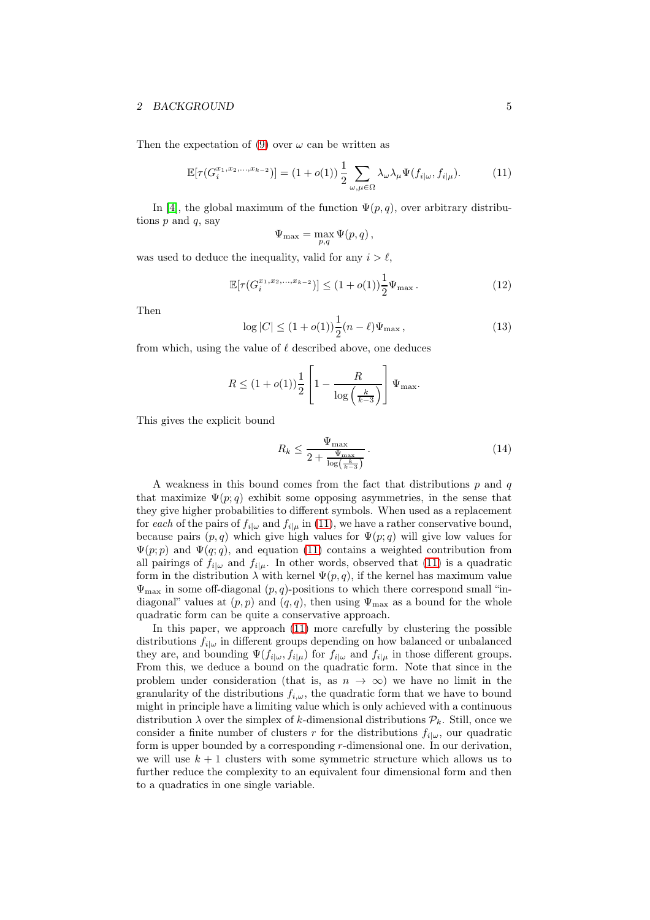#### 2 BACKGROUND 5

Then the expectation of [\(9\)](#page-3-0) over  $\omega$  can be written as

$$
\mathbb{E}[\tau(G_i^{x_1,x_2,\ldots,x_{k-2}})] = (1+o(1))\frac{1}{2}\sum_{\omega,\mu\in\Omega}\lambda_{\omega}\lambda_{\mu}\Psi(f_{i|\omega},f_{i|\mu}).\tag{11}
$$

In [\[4\]](#page-17-11), the global maximum of the function  $\Psi(p,q)$ , over arbitrary distributions  $p$  and  $q$ , say

<span id="page-4-0"></span>
$$
\Psi_{\max} = \max_{p,q} \Psi(p,q) \,,
$$

was used to deduce the inequality, valid for any  $i > \ell$ ,

$$
\mathbb{E}[\tau(G_i^{x_1, x_2, \dots, x_{k-2}})] \le (1 + o(1)) \frac{1}{2} \Psi_{\text{max}}.
$$
 (12)

Then

$$
\log|C| \le (1 + o(1))\frac{1}{2}(n - \ell)\Psi_{\max},\tag{13}
$$

from which, using the value of  $\ell$  described above, one deduces

$$
R \le (1 + o(1)) \frac{1}{2} \left[ 1 - \frac{R}{\log\left(\frac{k}{k-3}\right)} \right] \Psi_{\max}.
$$

This gives the explicit bound

<span id="page-4-1"></span>
$$
R_k \le \frac{\Psi_{\text{max}}}{2 + \frac{\Psi_{\text{max}}}{\log\left(\frac{k}{k-3}\right)}}\,. \tag{14}
$$

A weakness in this bound comes from the fact that distributions  $p$  and  $q$ that maximize  $\Psi(p;q)$  exhibit some opposing asymmetries, in the sense that they give higher probabilities to different symbols. When used as a replacement for each of the pairs of  $f_{i|\omega}$  and  $f_{i|\mu}$  in [\(11\)](#page-4-0), we have a rather conservative bound, because pairs  $(p, q)$  which give high values for  $\Psi(p, q)$  will give low values for  $\Psi(p; p)$  and  $\Psi(q; q)$ , and equation [\(11\)](#page-4-0) contains a weighted contribution from all pairings of  $f_{i|\omega}$  and  $f_{i|\mu}$ . In other words, observed that [\(11\)](#page-4-0) is a quadratic form in the distribution  $\lambda$  with kernel  $\Psi(p,q)$ , if the kernel has maximum value  $\Psi_{\text{max}}$  in some off-diagonal  $(p, q)$ -positions to which there correspond small "indiagonal" values at  $(p, p)$  and  $(q, q)$ , then using  $\Psi_{\text{max}}$  as a bound for the whole quadratic form can be quite a conservative approach.

In this paper, we approach [\(11\)](#page-4-0) more carefully by clustering the possible distributions  $f_{i|\omega}$  in different groups depending on how balanced or unbalanced they are, and bounding  $\Psi(f_{i|\omega}, f_{i|\mu})$  for  $f_{i|\omega}$  and  $f_{i|\mu}$  in those different groups. From this, we deduce a bound on the quadratic form. Note that since in the problem under consideration (that is, as  $n \to \infty$ ) we have no limit in the granularity of the distributions  $f_{i,\omega}$ , the quadratic form that we have to bound might in principle have a limiting value which is only achieved with a continuous distribution  $\lambda$  over the simplex of k-dimensional distributions  $\mathcal{P}_k$ . Still, once we consider a finite number of clusters r for the distributions  $f_{i|\omega}$ , our quadratic form is upper bounded by a corresponding r-dimensional one. In our derivation, we will use  $k + 1$  clusters with some symmetric structure which allows us to further reduce the complexity to an equivalent four dimensional form and then to a quadratics in one single variable.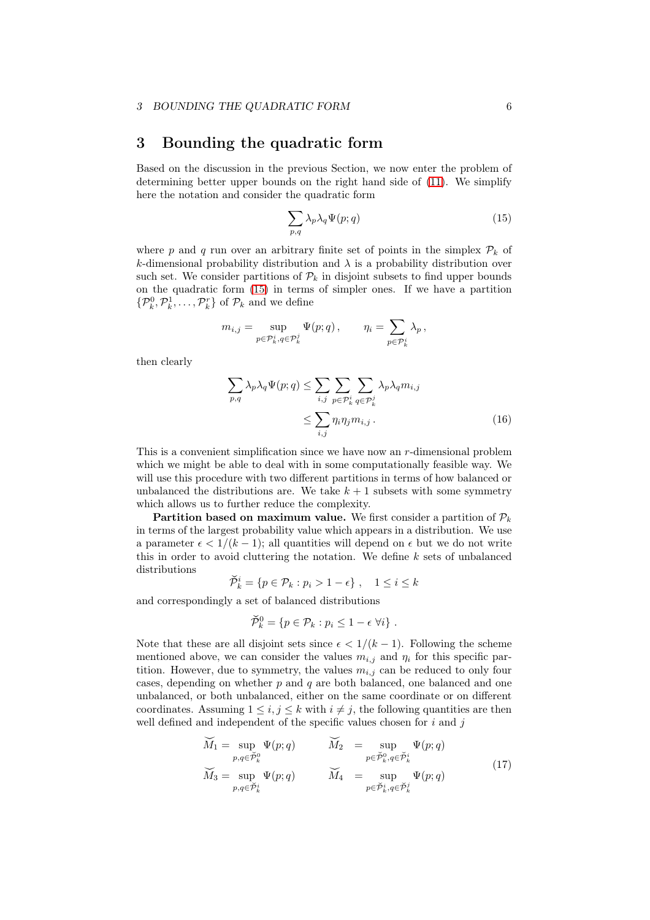# <span id="page-5-0"></span>3 Bounding the quadratic form

Based on the discussion in the previous Section, we now enter the problem of determining better upper bounds on the right hand side of [\(11\)](#page-4-0). We simplify here the notation and consider the quadratic form

<span id="page-5-1"></span>
$$
\sum_{p,q} \lambda_p \lambda_q \Psi(p;q) \tag{15}
$$

where p and q run over an arbitrary finite set of points in the simplex  $\mathcal{P}_k$  of k-dimensional probability distribution and  $\lambda$  is a probability distribution over such set. We consider partitions of  $\mathcal{P}_k$  in disjoint subsets to find upper bounds on the quadratic form [\(15\)](#page-5-1) in terms of simpler ones. If we have a partition  $\{\mathcal{P}_k^0, \mathcal{P}_k^1, \ldots, \mathcal{P}_k^r\}$  of  $\mathcal{P}_k$  and we define

$$
m_{i,j} = \sup_{p \in \mathcal{P}_k^i, q \in \mathcal{P}_k^j} \Psi(p; q), \qquad \eta_i = \sum_{p \in \mathcal{P}_k^i} \lambda_p,
$$

then clearly

<span id="page-5-2"></span>
$$
\sum_{p,q} \lambda_p \lambda_q \Psi(p;q) \leq \sum_{i,j} \sum_{p \in \mathcal{P}_k^i} \sum_{q \in \mathcal{P}_k^j} \lambda_p \lambda_q m_{i,j}
$$
\n
$$
\leq \sum_{i,j} \eta_i \eta_j m_{i,j} . \tag{16}
$$

This is a convenient simplification since we have now an  $r$ -dimensional problem which we might be able to deal with in some computationally feasible way. We will use this procedure with two different partitions in terms of how balanced or unbalanced the distributions are. We take  $k + 1$  subsets with some symmetry which allows us to further reduce the complexity.

**Partition based on maximum value.** We first consider a partition of  $\mathcal{P}_k$ in terms of the largest probability value which appears in a distribution. We use a parameter  $\epsilon < 1/(k-1)$ ; all quantities will depend on  $\epsilon$  but we do not write this in order to avoid cluttering the notation. We define  $k$  sets of unbalanced distributions

$$
\breve{\mathcal{P}}_k^i = \{ p \in \mathcal{P}_k : p_i > 1 - \epsilon \}, \quad 1 \le i \le k
$$

and correspondingly a set of balanced distributions

<span id="page-5-3"></span>
$$
\check{\mathcal{P}}_k^0 = \{ p \in \mathcal{P}_k : p_i \leq 1 - \epsilon \ \forall i \} .
$$

Note that these are all disjoint sets since  $\epsilon < 1/(k-1)$ . Following the scheme mentioned above, we can consider the values  $m_{i,j}$  and  $\eta_i$  for this specific partition. However, due to symmetry, the values  $m_{i,j}$  can be reduced to only four cases, depending on whether  $p$  and  $q$  are both balanced, one balanced and one unbalanced, or both unbalanced, either on the same coordinate or on different coordinates. Assuming  $1 \leq i, j \leq k$  with  $i \neq j$ , the following quantities are then well defined and independent of the specific values chosen for  $i$  and  $j$ 

$$
\widetilde{M}_1 = \sup_{p,q \in \widetilde{\mathcal{P}}_k^0} \Psi(p;q) \qquad \widetilde{M}_2 = \sup_{p \in \widetilde{\mathcal{P}}_k^0, q \in \widetilde{\mathcal{P}}_k^i} \Psi(p;q)
$$
\n
$$
\widetilde{M}_3 = \sup_{p,q \in \widetilde{\mathcal{P}}_k^i} \Psi(p;q) \qquad \widetilde{M}_4 = \sup_{p \in \widetilde{\mathcal{P}}_k^i, q \in \widetilde{\mathcal{P}}_k^j} \Psi(p;q)
$$
\n(17)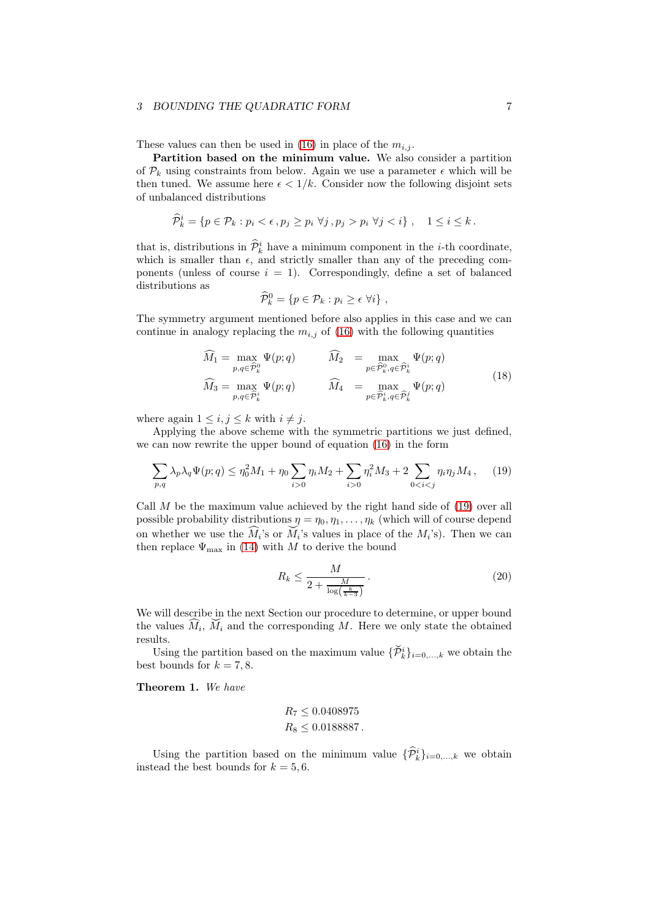### 3 BOUNDING THE QUADRATIC FORM  $7$

These values can then be used in [\(16\)](#page-5-2) in place of the  $m_{i,j}$ .

Partition based on the minimum value. We also consider a partition of  $\mathcal{P}_k$  using constraints from below. Again we use a parameter  $\epsilon$  which will be then tuned. We assume here  $\epsilon < 1/k$ . Consider now the following disjoint sets of unbalanced distributions

$$
\widehat{\mathcal{P}}_k^i = \{ p \in \mathcal{P}_k : p_i < \epsilon \,, p_j \geq p_i \,\,\forall j \,, p_j > p_i \,\,\forall j < i \}, \quad 1 \leq i \leq k \,.
$$

that is, distributions in  $\hat{\mathcal{P}}_k^i$  have a minimum component in the *i*-th coordinate, which is smaller than  $\epsilon$ , and strictly smaller than any of the preceding components (unless of course  $i = 1$ ). Correspondingly, define a set of balanced distributions as

<span id="page-6-1"></span>
$$
\widehat{\mathcal{P}}_k^0 = \{ p \in \mathcal{P}_k : p_i \ge \epsilon \,\,\forall i \} \,\,,
$$

The symmetry argument mentioned before also applies in this case and we can continue in analogy replacing the  $m_{i,j}$  of [\(16\)](#page-5-2) with the following quantities

$$
\widehat{M}_1 = \max_{p,q \in \widehat{\mathcal{P}}_k^0} \Psi(p;q) \qquad \widehat{M}_2 = \max_{p \in \widehat{\mathcal{P}}_k^0, q \in \widehat{\mathcal{P}}_k^i} \Psi(p;q) \n\widehat{M}_3 = \max_{p,q \in \widehat{\mathcal{P}}_k^i} \Psi(p;q) \qquad \widehat{M}_4 = \max_{p \in \widehat{\mathcal{P}}_k^i, q \in \widehat{\mathcal{P}}_k^i} \Psi(p;q)
$$
\n(18)

where again  $1 \leq i, j \leq k$  with  $i \neq j$ .

Applying the above scheme with the symmetric partitions we just defined, we can now rewrite the upper bound of equation [\(16\)](#page-5-2) in the form

$$
\sum_{p,q} \lambda_p \lambda_q \Psi(p;q) \le \eta_0^2 M_1 + \eta_0 \sum_{i>0} \eta_i M_2 + \sum_{i>0} \eta_i^2 M_3 + 2 \sum_{0
$$

Call  $M$  be the maximum value achieved by the right hand side of  $(19)$  over all possible probability distributions  $\eta = \eta_0, \eta_1, \ldots, \eta_k$  (which will of course depend on whether we use the  $\widehat{M}_i$ 's or  $\widecheck{M}_i$ 's values in place of the  $M_i$ 's). Then we can then replace  $\Psi_{\text{max}}$  in [\(14\)](#page-4-1) with M to derive the bound

<span id="page-6-0"></span>
$$
R_k \le \frac{M}{2 + \frac{M}{\log\left(\frac{k}{k-3}\right)}}\,. \tag{20}
$$

We will describe in the next Section our procedure to determine, or upper bound the values  $\widetilde{M}_i$ ,  $\widetilde{M}_i$  and the corresponding M. Here we only state the obtained results.

Using the partition based on the maximum value  $\{\check{\mathcal{P}}_k^i\}_{i=0,\ldots,k}$  we obtain the best bounds for  $k = 7, 8$ .

Theorem 1. We have

$$
R_7 \le 0.0408975
$$
  

$$
R_8 \le 0.0188887.
$$

Using the partition based on the minimum value  $\{\hat{\mathcal{P}}_k^i\}_{i=0,\dots,k}$  we obtain instead the best bounds for  $k = 5, 6$ .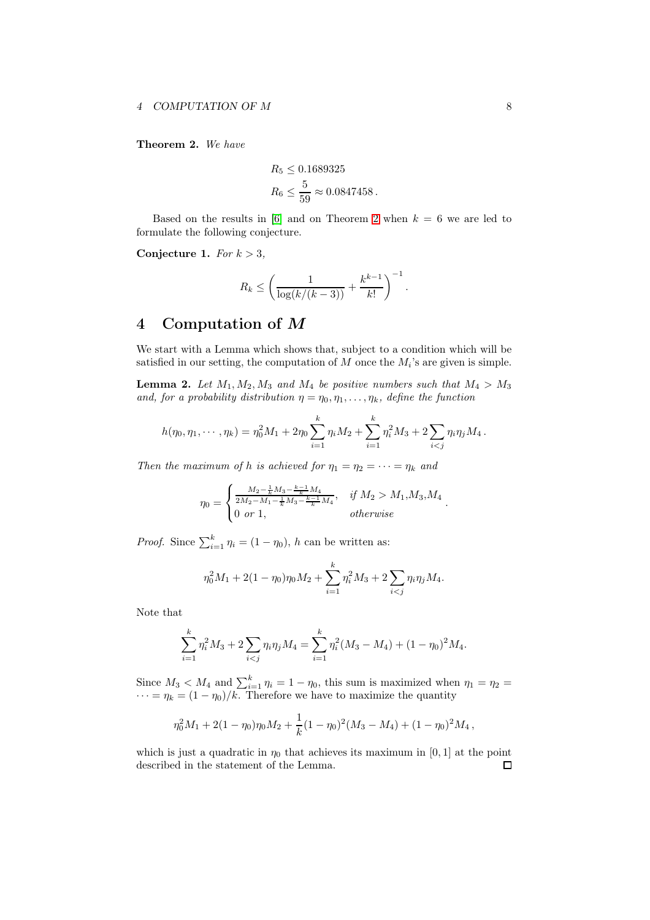<span id="page-7-1"></span>Theorem 2. We have

$$
R_5 \le 0.1689325
$$
  

$$
R_6 \le \frac{5}{59} \approx 0.0847458.
$$

Based on the results in [\[6\]](#page-17-9) and on Theorem [2](#page-7-1) when  $k = 6$  we are led to formulate the following conjecture.

Conjecture 1. For  $k > 3$ ,

$$
R_k \le \left(\frac{1}{\log(k/(k-3))} + \frac{k^{k-1}}{k!}\right)^{-1}.
$$

# <span id="page-7-0"></span>4 Computation of M

We start with a Lemma which shows that, subject to a condition which will be satisfied in our setting, the computation of  $M$  once the  $M_i$ 's are given is simple.

<span id="page-7-2"></span>**Lemma 2.** Let  $M_1, M_2, M_3$  and  $M_4$  be positive numbers such that  $M_4 > M_3$ and, for a probability distribution  $\eta = \eta_0, \eta_1, \ldots, \eta_k$ , define the function

$$
h(\eta_0, \eta_1, \cdots, \eta_k) = \eta_0^2 M_1 + 2\eta_0 \sum_{i=1}^k \eta_i M_2 + \sum_{i=1}^k \eta_i^2 M_3 + 2 \sum_{i < j} \eta_i \eta_j M_4.
$$

Then the maximum of h is achieved for  $\eta_1 = \eta_2 = \cdots = \eta_k$  and

$$
\eta_0 = \begin{cases} \frac{M_2 - \frac{1}{k} M_3 - \frac{k-1}{k} M_4}{2M_2 - M_1 - \frac{1}{k} M_3 - \frac{k-1}{k} M_4}, & \text{if } M_2 > M_1, M_3, M_4\\ 0 \text{ or } 1, & \text{otherwise} \end{cases}
$$

.

*Proof.* Since  $\sum_{i=1}^{k} \eta_i = (1 - \eta_0)$ , h can be written as:

$$
\eta_0^2 M_1 + 2(1 - \eta_0)\eta_0 M_2 + \sum_{i=1}^k \eta_i^2 M_3 + 2\sum_{i < j} \eta_i \eta_j M_4.
$$

Note that

$$
\sum_{i=1}^{k} \eta_i^2 M_3 + 2 \sum_{i < j} \eta_i \eta_j M_4 = \sum_{i=1}^{k} \eta_i^2 (M_3 - M_4) + (1 - \eta_0)^2 M_4.
$$

Since  $M_3 < M_4$  and  $\sum_{i=1}^k \eta_i = 1 - \eta_0$ , this sum is maximized when  $\eta_1 = \eta_2 =$  $\cdots = \eta_k = (1 - \eta_0)/k$ . Therefore we have to maximize the quantity

$$
\eta_0^2 M_1 + 2(1 - \eta_0)\eta_0 M_2 + \frac{1}{k}(1 - \eta_0)^2(M_3 - M_4) + (1 - \eta_0)^2 M_4,
$$

which is just a quadratic in  $\eta_0$  that achieves its maximum in [0, 1] at the point described in the statement of the Lemma. $\Box$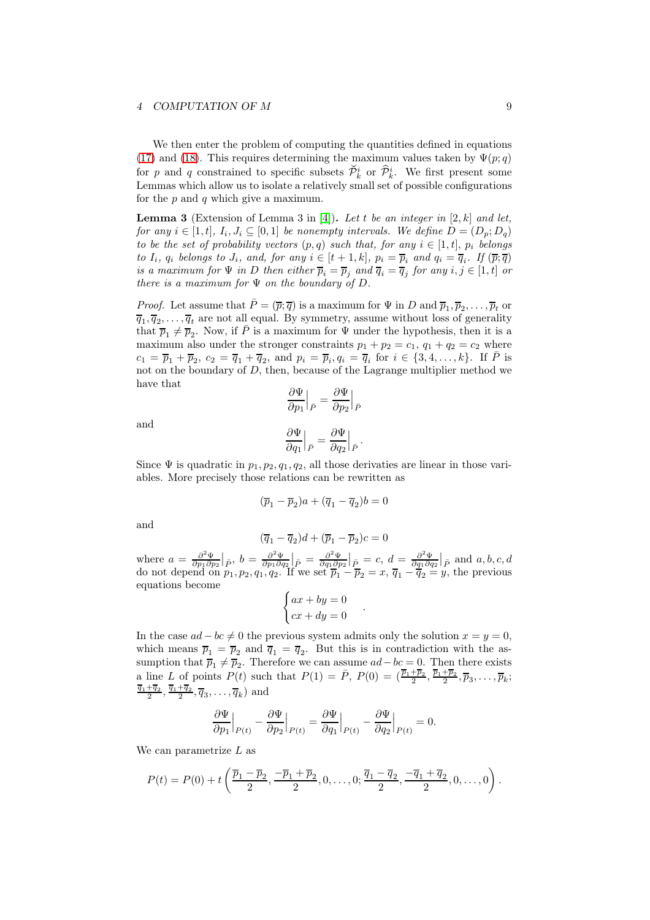### 4 COMPUTATION OF M 9

We then enter the problem of computing the quantities defined in equations [\(17\)](#page-5-3) and [\(18\)](#page-6-1). This requires determining the maximum values taken by  $\Psi(p;q)$ for p and q constrained to specific subsets  $\check{\mathcal{P}}_k^i$  or  $\widehat{\mathcal{P}}_k^i$ . We first present some Lemmas which allow us to isolate a relatively small set of possible configurations for the  $p$  and  $q$  which give a maximum.

<span id="page-8-0"></span>**Lemma 3** (Extension of Lemma 3 in [\[4\]](#page-17-11)). Let t be an integer in [2, k] and let, for any  $i \in [1, t], I_i, J_i \subseteq [0, 1]$  be nonempty intervals. We define  $D = (D_p, D_q)$ to be the set of probability vectors  $(p, q)$  such that, for any  $i \in [1, t]$ ,  $p_i$  belongs to  $I_i$ ,  $q_i$  belongs to  $J_i$ , and, for any  $i \in [t+1, k]$ ,  $p_i = \overline{p}_i$  and  $q_i = \overline{q}_i$ . If  $(\overline{p}; \overline{q})$ is a maximum for  $\Psi$  in D then either  $\overline{p}_i = \overline{p}_j$  and  $\overline{q}_i = \overline{q}_j$  for any  $i, j \in [1, t]$  or there is a maximum for  $\Psi$  on the boundary of  $D$ .

*Proof.* Let assume that  $\bar{P} = (\bar{p}; \bar{q})$  is a maximum for  $\Psi$  in D and  $\bar{p}_1, \bar{p}_2, \ldots, \bar{p}_t$  or  $\overline{q}_1, \overline{q}_2, \ldots, \overline{q}_t$  are not all equal. By symmetry, assume without loss of generality that  $\overline{p}_1 \neq \overline{p}_2$ . Now, if  $\overline{P}$  is a maximum for  $\Psi$  under the hypothesis, then it is a maximum also under the stronger constraints  $p_1 + p_2 = c_1$ ,  $q_1 + q_2 = c_2$  where  $c_1 = \overline{p}_1 + \overline{p}_2, c_2 = \overline{q}_1 + \overline{q}_2$ , and  $p_i = \overline{p}_i, q_i = \overline{q}_i$  for  $i \in \{3, 4, ..., k\}$ . If  $\overline{P}$  is not on the boundary of D, then, because of the Lagrange multiplier method we have that ∂Ψ

and

$$
\left.\frac{\partial\Psi}{\partial p_1}\right|_{\bar{P}} = \left.\frac{\partial\Psi}{\partial p_2}\right|_{\bar{P}}
$$

$$
\left.\frac{\partial \Psi}{\partial q_1}\right|_{\bar{P}}=\left.\frac{\partial \Psi}{\partial q_2}\right|_{\bar{P}}
$$

.

.

Since  $\Psi$  is quadratic in  $p_1, p_2, q_1, q_2$ , all those derivaties are linear in those variables. More precisely those relations can be rewritten as

$$
(\overline{p}_1 - \overline{p}_2)a + (\overline{q}_1 - \overline{q}_2)b = 0
$$

and

$$
(\overline{q}_1-\overline{q}_2)d+(\overline{p}_1-\overline{p}_2)c=0
$$

where  $a = \frac{\partial^2 \Psi}{\partial p_1 \partial p_2} \big|_{\bar{P}}, b = \frac{\partial^2 \Psi}{\partial p_1 \partial q_2} \big|_{\bar{P}} = \frac{\partial^2 \Psi}{\partial q_1 \partial p_2} \big|_{\bar{P}} = c, d = \frac{\partial^2 \Psi}{\partial q_1 \partial q_2} \big|_{\bar{P}}$  and  $a, b, c, d$ do not depend on  $p_1, p_2, q_1, q_2$ . If we set  $\overline{p}_1 - \overline{p}_2 = x$ ,  $\overline{q}_1 - \overline{q}_2 = y$ , the previous equations become

$$
\begin{cases}\nax + by = 0 \\
cx + dy = 0\n\end{cases}
$$

In the case  $ad - bc \neq 0$  the previous system admits only the solution  $x = y = 0$ , which means  $\overline{p}_1 = \overline{p}_2$  and  $\overline{q}_1 = \overline{q}_2$ . But this is in contradiction with the assumption that  $\overline{p}_1 \neq \overline{p}_2$ . Therefore we can assume  $ad - bc = 0$ . Then there exists a line L of points  $P(t)$  such that  $P(1) = \overline{P}$ ,  $P(0) = (\frac{\overline{p}_1 + \overline{p}_2}{2}, \frac{\overline{p}_1 + \overline{p}_2}{2})$  $\frac{+p_2}{2}, \overline{p}_3, \ldots, \overline{p}_k;$  $\frac{q_1+q_2}{2}$  $\frac{\overline{q}_1}{2}, \frac{\overline{q}_1+\overline{q}_2}{2}$  $\frac{+q_2}{2}, \overline{q}_3, \ldots, \overline{q}_k$  and

$$
\frac{\partial \Psi}{\partial p_1}\Big|_{P(t)} - \frac{\partial \Psi}{\partial p_2}\Big|_{P(t)} = \frac{\partial \Psi}{\partial q_1}\Big|_{P(t)} - \frac{\partial \Psi}{\partial q_2}\Big|_{P(t)} = 0.
$$

We can parametrize  $L$  as

$$
P(t) = P(0) + t\left(\frac{\overline{p}_1 - \overline{p}_2}{2}, \frac{-\overline{p}_1 + \overline{p}_2}{2}, 0, \dots, 0; \frac{\overline{q}_1 - \overline{q}_2}{2}, \frac{-\overline{q}_1 + \overline{q}_2}{2}, 0, \dots, 0\right).
$$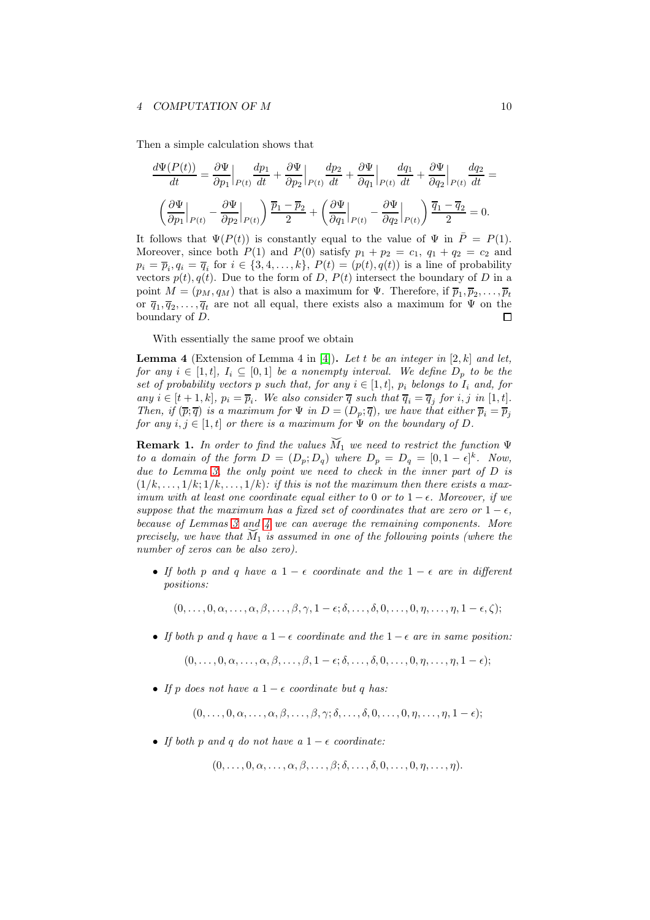#### 4 COMPUTATION OF M 10

Then a simple calculation shows that

$$
\frac{d\Psi(P(t))}{dt} = \frac{\partial \Psi}{\partial p_1}\Big|_{P(t)} \frac{dp_1}{dt} + \frac{\partial \Psi}{\partial p_2}\Big|_{P(t)} \frac{dp_2}{dt} + \frac{\partial \Psi}{\partial q_1}\Big|_{P(t)} \frac{dq_1}{dt} + \frac{\partial \Psi}{\partial q_2}\Big|_{P(t)} \frac{dq_2}{dt} =
$$
  

$$
\left(\frac{\partial \Psi}{\partial p_1}\Big|_{P(t)} - \frac{\partial \Psi}{\partial p_2}\Big|_{P(t)}\right) \frac{\overline{p}_1 - \overline{p}_2}{2} + \left(\frac{\partial \Psi}{\partial q_1}\Big|_{P(t)} - \frac{\partial \Psi}{\partial q_2}\Big|_{P(t)}\right) \frac{\overline{q}_1 - \overline{q}_2}{2} = 0.
$$

It follows that  $\Psi(P(t))$  is constantly equal to the value of  $\Psi$  in  $P = P(1)$ . Moreover, since both  $P(1)$  and  $P(0)$  satisfy  $p_1 + p_2 = c_1$ ,  $q_1 + q_2 = c_2$  and  $p_i = \overline{p}_i, q_i = \overline{q}_i$  for  $i \in \{3, 4, \ldots, k\}, P(t) = (p(t), q(t))$  is a line of probability vectors  $p(t)$ ,  $q(t)$ . Due to the form of D,  $P(t)$  intersect the boundary of D in a point  $M = (p_M, q_M)$  that is also a maximum for  $\Psi$ . Therefore, if  $\overline{p}_1, \overline{p}_2, \ldots, \overline{p}_t$ or  $\overline{q}_1, \overline{q}_2, \ldots, \overline{q}_t$  are not all equal, there exists also a maximum for  $\Psi$  on the boundary of D.  $\Box$ 

With essentially the same proof we obtain

<span id="page-9-0"></span>**Lemma 4** (Extension of Lemma 4 in [\[4\]](#page-17-11)). Let t be an integer in [2, k] and let, for any  $i \in [1, t]$ ,  $I_i \subseteq [0, 1]$  be a nonempty interval. We define  $D_p$  to be the set of probability vectors p such that, for any  $i \in [1, t]$ ,  $p_i$  belongs to  $I_i$  and, for any  $i \in [t+1, k]$ ,  $p_i = \overline{p}_i$ . We also consider  $\overline{q}$  such that  $\overline{q}_i = \overline{q}_j$  for  $i, j$  in [1, t]. Then, if  $(\overline{p}; \overline{q})$  is a maximum for  $\Psi$  in  $D = (D_p; \overline{q})$ , we have that either  $\overline{p}_i = \overline{p}_j$ for any  $i, j \in [1, t]$  or there is a maximum for  $\Psi$  on the boundary of  $D$ .

<span id="page-9-1"></span>**Remark 1.** In order to find the values  $\widetilde{M}_1$  we need to restrict the function  $\Psi$ to a domain of the form  $D = (D_p; D_q)$  where  $D_p = D_q = [0, 1 - \epsilon]^k$ . Now, due to Lemma [3,](#page-8-0) the only point we need to check in the inner part of D is  $(1/k, \ldots, 1/k; 1/k, \ldots, 1/k)$ : if this is not the maximum then there exists a maximum with at least one coordinate equal either to 0 or to  $1 - \epsilon$ . Moreover, if we suppose that the maximum has a fixed set of coordinates that are zero or  $1 - \epsilon$ , because of Lemmas [3](#page-8-0) and [4](#page-9-0) we can average the remaining components. More precisely, we have that  $\tilde{M}_1$  is assumed in one of the following points (where the number of zeros can be also zero).

• If both p and q have a  $1 - \epsilon$  coordinate and the  $1 - \epsilon$  are in different positions:

 $(0,\ldots,0,\alpha,\ldots,\alpha,\beta,\ldots,\beta,\gamma,1-\epsilon;\delta,\ldots,\delta,0,\ldots,0,\eta,\ldots,\eta,1-\epsilon,\zeta);$ 

• If both p and q have a  $1 - \epsilon$  coordinate and the  $1 - \epsilon$  are in same position:

 $(0,\ldots,0,\alpha,\ldots,\alpha,\beta,\ldots,\beta,1-\epsilon;\delta,\ldots,\delta,0,\ldots,0,\eta,\ldots,\eta,1-\epsilon);$ 

• If p does not have a  $1 - \epsilon$  coordinate but q has:

 $(0, \ldots, 0, \alpha, \ldots, \alpha, \beta, \ldots, \beta, \gamma; \delta, \ldots, \delta, 0, \ldots, 0, n, \ldots, n, 1 - \epsilon);$ 

• If both p and q do not have a  $1 - \epsilon$  coordinate:

 $(0,\ldots,0,\alpha,\ldots,\alpha,\beta,\ldots,\beta;\delta,\ldots,\delta,0,\ldots,0,\eta,\ldots,\eta).$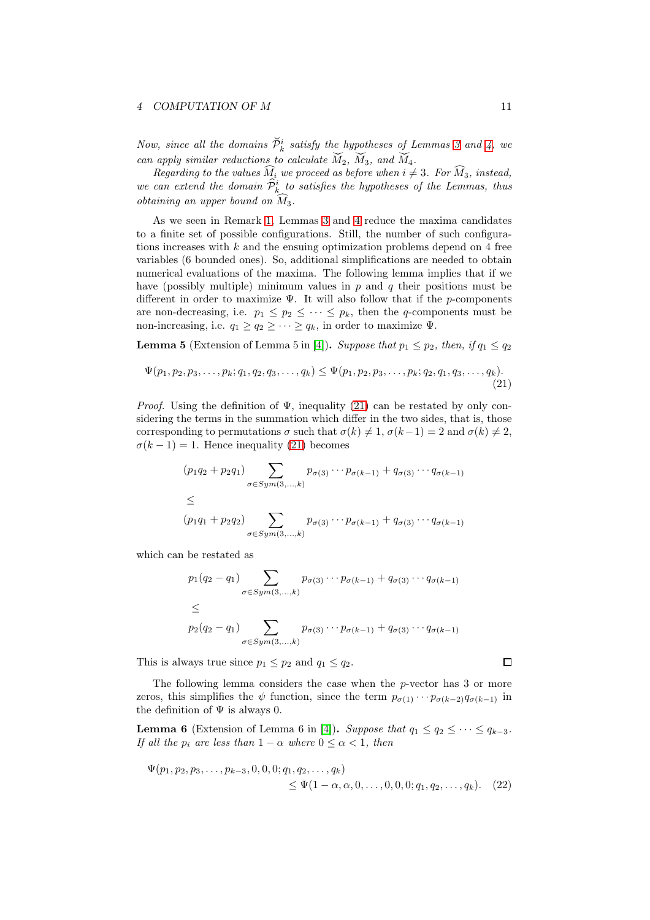Now, since all the domains  $\check{\mathcal{P}}^i_k$  satisfy the hypotheses of Lemmas [3](#page-8-0) and [4,](#page-9-0) we can apply similar reductions to calculate  $\tilde{M}_2$ ,  $\tilde{M}_3$ , and  $\tilde{M}_4$ .

Regarding to the values  $\widehat{M}_i$  we proceed as before when  $i \neq 3$ . For  $\widehat{M}_3$ , instead, we can extend the domain  $\widehat{P}_k^i$  to satisfies the hypotheses of the Lemmas, thus obtaining an upper bound on  $\widehat{M}_3$ .

As we seen in Remark [1,](#page-9-1) Lemmas [3](#page-8-0) and [4](#page-9-0) reduce the maxima candidates to a finite set of possible configurations. Still, the number of such configurations increases with  $k$  and the ensuing optimization problems depend on 4 free variables (6 bounded ones). So, additional simplifications are needed to obtain numerical evaluations of the maxima. The following lemma implies that if we have (possibly multiple) minimum values in  $p$  and  $q$  their positions must be different in order to maximize  $\Psi$ . It will also follow that if the p-components are non-decreasing, i.e.  $p_1 \leq p_2 \leq \cdots \leq p_k$ , then the *q*-components must be non-increasing, i.e.  $q_1 \geq q_2 \geq \cdots \geq q_k$ , in order to maximize  $\Psi$ .

<span id="page-10-2"></span><span id="page-10-0"></span>**Lemma 5** (Extension of Lemma 5 in [\[4\]](#page-17-11)). Suppose that  $p_1 \leq p_2$ , then, if  $q_1 \leq q_2$ 

$$
\Psi(p_1, p_2, p_3, \dots, p_k; q_1, q_2, q_3, \dots, q_k) \leq \Psi(p_1, p_2, p_3, \dots, p_k; q_2, q_1, q_3, \dots, q_k).
$$
\n(21)

*Proof.* Using the definition of  $\Psi$ , inequality [\(21\)](#page-10-0) can be restated by only considering the terms in the summation which differ in the two sides, that is, those corresponding to permutations  $\sigma$  such that  $\sigma(k) \neq 1$ ,  $\sigma(k-1) = 2$  and  $\sigma(k) \neq 2$ ,  $\sigma(k-1) = 1$ . Hence inequality [\(21\)](#page-10-0) becomes

$$
(p_1q_2 + p_2q_1) \sum_{\sigma \in Sym(3,...,k)} p_{\sigma(3)} \cdots p_{\sigma(k-1)} + q_{\sigma(3)} \cdots q_{\sigma(k-1)}
$$
  
\n
$$
\leq
$$
  
\n
$$
(p_1q_1 + p_2q_2) \sum_{\sigma \in Sym(3,...,k)} p_{\sigma(3)} \cdots p_{\sigma(k-1)} + q_{\sigma(3)} \cdots q_{\sigma(k-1)}
$$

which can be restated as

$$
p_1(q_2 - q_1) \sum_{\sigma \in Sym(3,...,k)} p_{\sigma(3)} \cdots p_{\sigma(k-1)} + q_{\sigma(3)} \cdots q_{\sigma(k-1)}
$$
  
\n
$$
\leq
$$
  
\n
$$
p_2(q_2 - q_1) \sum_{\sigma \in Sym(3,...,k)} p_{\sigma(3)} \cdots p_{\sigma(k-1)} + q_{\sigma(3)} \cdots q_{\sigma(k-1)}
$$

This is always true since  $p_1 \leq p_2$  and  $q_1 \leq q_2$ .

The following lemma considers the case when the p-vector has 3 or more zeros, this simplifies the  $\psi$  function, since the term  $p_{\sigma(1)} \cdots p_{\sigma(k-2)} q_{\sigma(k-1)}$  in the definition of  $\Psi$  is always 0.

<span id="page-10-3"></span>**Lemma 6** (Extension of Lemma 6 in [\[4\]](#page-17-11)). Suppose that  $q_1 \leq q_2 \leq \cdots \leq q_{k-3}$ . If all the  $p_i$  are less than  $1 - \alpha$  where  $0 \leq \alpha < 1$ , then

$$
\Psi(p_1, p_2, p_3, \dots, p_{k-3}, 0, 0, 0; q_1, q_2, \dots, q_k) \leq \Psi(1 - \alpha, \alpha, 0, \dots, 0, 0, 0; q_1, q_2, \dots, q_k). \tag{22}
$$

<span id="page-10-1"></span> $\Box$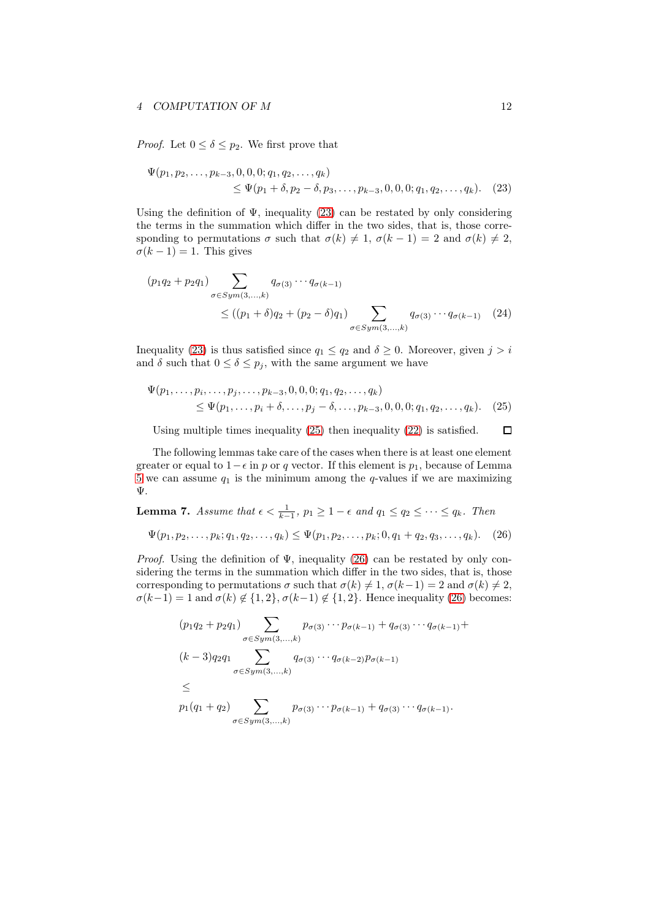#### 4 COMPUTATION OF M 12

*Proof.* Let  $0 \le \delta \le p_2$ . We first prove that

<span id="page-11-0"></span>
$$
\Psi(p_1, p_2, \dots, p_{k-3}, 0, 0, 0; q_1, q_2, \dots, q_k) \leq \Psi(p_1 + \delta, p_2 - \delta, p_3, \dots, p_{k-3}, 0, 0, 0; q_1, q_2, \dots, q_k). \tag{23}
$$

Using the definition of  $\Psi$ , inequality [\(23\)](#page-11-0) can be restated by only considering the terms in the summation which differ in the two sides, that is, those corresponding to permutations  $\sigma$  such that  $\sigma(k) \neq 1$ ,  $\sigma(k - 1) = 2$  and  $\sigma(k) \neq 2$ ,  $\sigma(k-1) = 1$ . This gives

$$
(p_1q_2 + p_2q_1) \sum_{\sigma \in Sym(3,...,k)} q_{\sigma(3)} \cdots q_{\sigma(k-1)}
$$
  
 
$$
\leq ((p_1 + \delta)q_2 + (p_2 - \delta)q_1) \sum_{\sigma \in Sym(3,...,k)} q_{\sigma(3)} \cdots q_{\sigma(k-1)} \quad (24)
$$

Inequality [\(23\)](#page-11-0) is thus satisfied since  $q_1 \leq q_2$  and  $\delta \geq 0$ . Moreover, given  $j > i$ and  $\delta$  such that  $0 \leq \delta \leq p_j$ , with the same argument we have

$$
\Psi(p_1, \ldots, p_i, \ldots, p_j, \ldots, p_{k-3}, 0, 0, 0; q_1, q_2, \ldots, q_k) \n\leq \Psi(p_1, \ldots, p_i + \delta, \ldots, p_j - \delta, \ldots, p_{k-3}, 0, 0, 0; q_1, q_2, \ldots, q_k).
$$
\n(25)

<span id="page-11-1"></span>Using multiple times inequality [\(25\)](#page-11-1) then inequality [\(22\)](#page-10-1) is satisfied.  $\Box$ 

The following lemmas take care of the cases when there is at least one element greater or equal to  $1-\epsilon$  in p or q vector. If this element is  $p_1$ , because of Lemma [5](#page-10-2) we can assume  $q_1$  is the minimum among the q-values if we are maximizing Ψ.

<span id="page-11-3"></span>**Lemma 7.** Assume that  $\epsilon < \frac{1}{k-1}$ ,  $p_1 \geq 1 - \epsilon$  and  $q_1 \leq q_2 \leq \cdots \leq q_k$ . Then

$$
\Psi(p_1, p_2, \dots, p_k; q_1, q_2, \dots, q_k) \leq \Psi(p_1, p_2, \dots, p_k; 0, q_1 + q_2, q_3, \dots, q_k). \tag{26}
$$

*Proof.* Using the definition of  $\Psi$ , inequality [\(26\)](#page-11-2) can be restated by only considering the terms in the summation which differ in the two sides, that is, those corresponding to permutations  $\sigma$  such that  $\sigma(k) \neq 1$ ,  $\sigma(k-1) = 2$  and  $\sigma(k) \neq 2$ ,  $\sigma(k-1) = 1$  and  $\sigma(k) \notin \{1, 2\}, \sigma(k-1) \notin \{1, 2\}.$  Hence inequality [\(26\)](#page-11-2) becomes:

<span id="page-11-2"></span>
$$
(p_1q_2 + p_2q_1) \sum_{\sigma \in Sym(3,...,k)} p_{\sigma(3)} \cdots p_{\sigma(k-1)} + q_{\sigma(3)} \cdots q_{\sigma(k-1)} +
$$
  
\n
$$
(k-3)q_2q_1 \sum_{\sigma \in Sym(3,...,k)} q_{\sigma(3)} \cdots q_{\sigma(k-2)} p_{\sigma(k-1)}
$$
  
\n
$$
\le
$$
  
\n
$$
p_1(q_1 + q_2) \sum_{\sigma \in Sym(3,...,k)} p_{\sigma(3)} \cdots p_{\sigma(k-1)} + q_{\sigma(3)} \cdots q_{\sigma(k-1)}.
$$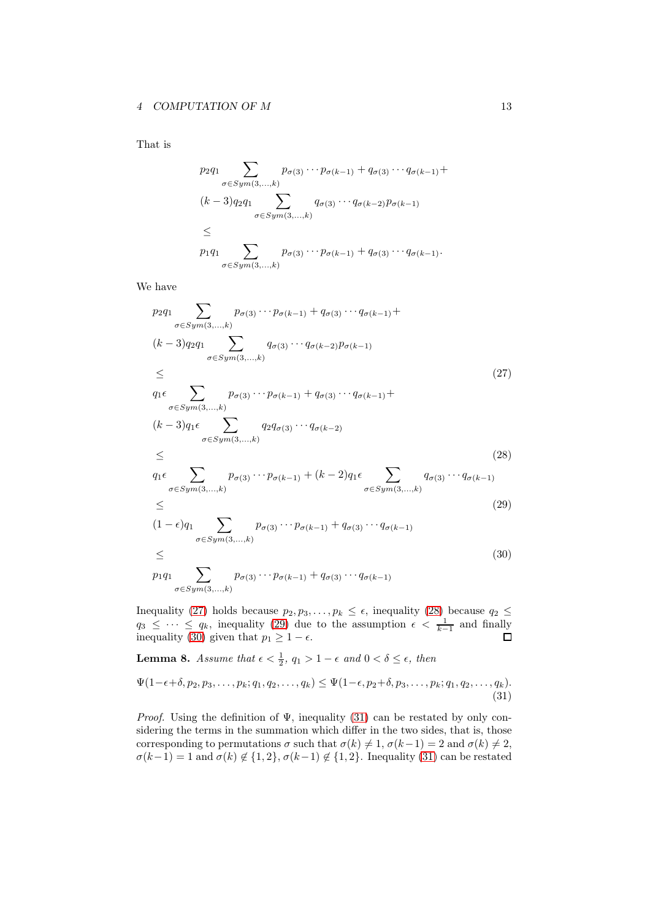That is

$$
p_2 q_1 \sum_{\sigma \in Sym(3,...,k)} p_{\sigma(3)} \cdots p_{\sigma(k-1)} + q_{\sigma(3)} \cdots q_{\sigma(k-1)} +
$$
  
\n
$$
(k-3)q_2 q_1 \sum_{\sigma \in Sym(3,...,k)} q_{\sigma(3)} \cdots q_{\sigma(k-2)} p_{\sigma(k-1)}
$$
  
\n
$$
\le
$$
  
\n
$$
p_1 q_1 \sum_{\sigma \in Sym(3,...,k)} p_{\sigma(3)} \cdots p_{\sigma(k-1)} + q_{\sigma(3)} \cdots q_{\sigma(k-1)}.
$$

We have

<span id="page-12-1"></span><span id="page-12-0"></span>
$$
p_2q_1 \sum_{\sigma \in Sym(3,...,k)} p_{\sigma(3)} \cdots p_{\sigma(k-1)} + q_{\sigma(3)} \cdots q_{\sigma(k-1)} +
$$
  
\n
$$
(k-3)q_2q_1 \sum_{\sigma \in Sym(3,...,k)} q_{\sigma(3)} \cdots q_{\sigma(k-2)} p_{\sigma(k-1)}
$$
  
\n
$$
\leq
$$
  
\n
$$
q_1 \epsilon \sum_{\sigma \in Sym(3,...,k)} p_{\sigma(3)} \cdots p_{\sigma(k-1)} + q_{\sigma(3)} \cdots q_{\sigma(k-1)} +
$$
  
\n
$$
(k-3)q_1 \epsilon \sum_{\sigma \in Sym(3,...,k)} q_2q_{\sigma(3)} \cdots q_{\sigma(k-2)}
$$
  
\n
$$
\leq
$$
  
\n
$$
q_1 \epsilon \sum_{\sigma \in Sym(3,...,k)} p_{\sigma(3)} \cdots p_{\sigma(k-1)} + (k-2)q_1 \epsilon \sum_{\sigma \in Sym(3,...,k)} q_{\sigma(3)} \cdots q_{\sigma(k-1)}
$$
  
\n
$$
\leq
$$
  
\n
$$
(1-\epsilon)q_1 \sum_{\sigma \in Sym(3,...,k)} p_{\sigma(3)} \cdots p_{\sigma(k-1)} + q_{\sigma(3)} \cdots q_{\sigma(k-1)}
$$
  
\n
$$
\leq
$$
  
\n
$$
p_1q_1 \sum_{\sigma \in Sym(3,...,k)} p_{\sigma(3)} \cdots p_{\sigma(k-1)} + q_{\sigma(3)} \cdots q_{\sigma(k-1)}
$$
  
\n(30)

<span id="page-12-3"></span><span id="page-12-2"></span>Inequality [\(27\)](#page-12-0) holds because  $p_2, p_3, \ldots, p_k \leq \epsilon$ , inequality [\(28\)](#page-12-1) because  $q_2 \leq$  $q_3 \leq \cdots \leq q_k$ , inequality [\(29\)](#page-12-2) due to the assumption  $\epsilon < \frac{1}{k-1}$  and finally inequality [\(30\)](#page-12-3) given that  $p_1 \geq 1 - \epsilon$ .

<span id="page-12-5"></span><span id="page-12-4"></span>**Lemma 8.** Assume that  $\epsilon < \frac{1}{2}$ ,  $q_1 > 1 - \epsilon$  and  $0 < \delta \leq \epsilon$ , then

$$
\Psi(1-\epsilon+\delta,p_2,p_3,\ldots,p_k;q_1,q_2,\ldots,q_k) \le \Psi(1-\epsilon,p_2+\delta,p_3,\ldots,p_k;q_1,q_2,\ldots,q_k). \tag{31}
$$

*Proof.* Using the definition of  $\Psi$ , inequality [\(31\)](#page-12-4) can be restated by only considering the terms in the summation which differ in the two sides, that is, those corresponding to permutations  $\sigma$  such that  $\sigma(k) \neq 1$ ,  $\sigma(k-1) = 2$  and  $\sigma(k) \neq 2$ ,  $\sigma(k-1) = 1$  and  $\sigma(k) \notin \{1, 2\}, \sigma(k-1) \notin \{1, 2\}.$  Inequality [\(31\)](#page-12-4) can be restated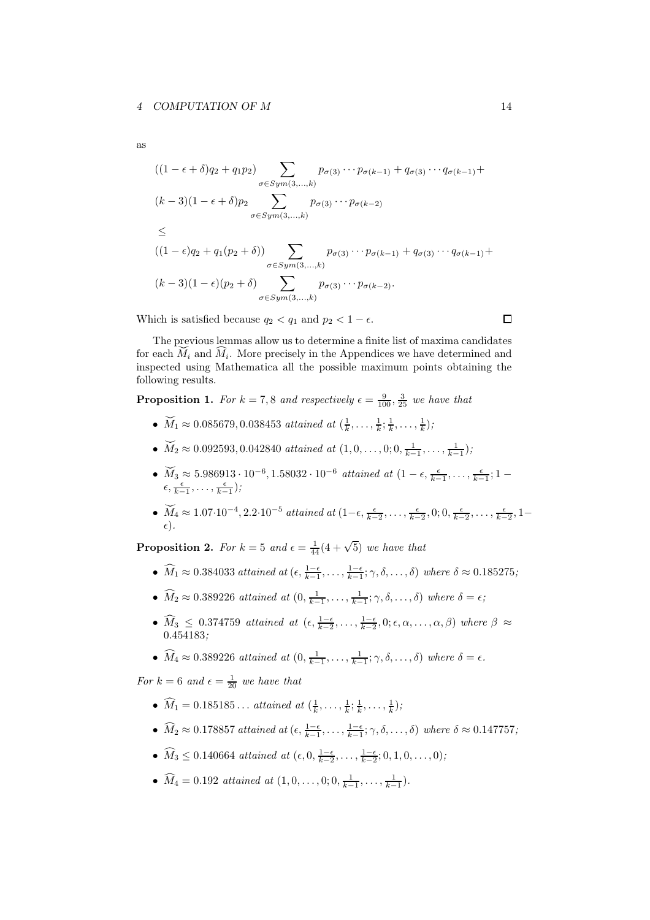as

$$
((1 - \epsilon + \delta)q_2 + q_1p_2) \sum_{\sigma \in Sym(3, \ldots, k)} p_{\sigma(3)} \cdots p_{\sigma(k-1)} + q_{\sigma(3)} \cdots q_{\sigma(k-1)} +
$$
  
\n
$$
(k-3)(1 - \epsilon + \delta)p_2 \sum_{\sigma \in Sym(3, \ldots, k)} p_{\sigma(3)} \cdots p_{\sigma(k-2)}
$$
  
\n
$$
\leq
$$
  
\n
$$
((1 - \epsilon)q_2 + q_1(p_2 + \delta)) \sum_{\sigma \in Sym(3, \ldots, k)} p_{\sigma(3)} \cdots p_{\sigma(k-1)} + q_{\sigma(3)} \cdots q_{\sigma(k-1)} +
$$
  
\n
$$
(k-3)(1 - \epsilon)(p_2 + \delta) \sum_{\sigma \in Sym(3, \ldots, k)} p_{\sigma(3)} \cdots p_{\sigma(k-2)}.
$$

Which is satisfied because  $q_2 < q_1$  and  $p_2 < 1 - \epsilon$ .

The previous lemmas allow us to determine a finite list of maxima candidates for each  $M_i$  and  $\widehat{M_i}$ . More precisely in the Appendices we have determined and inspected using Mathematica all the possible maximum points obtaining the following results.

<span id="page-13-0"></span>**Proposition 1.** For  $k = 7, 8$  and respectively  $\epsilon = \frac{9}{100}, \frac{3}{25}$  we have that

- $\widetilde{M}_1 \approx 0.085679, 0.038453$  attained at  $(\frac{1}{k}, \ldots, \frac{1}{k}; \frac{1}{k}, \ldots, \frac{1}{k})$ ;
- $\widetilde{M}_2 \approx 0.092593, 0.042840$  attained at  $(1,0,\ldots,0;0,\frac{1}{k-1},\ldots,\frac{1}{k-1});$
- $\widetilde{M}_3 \approx 5.986913 \cdot 10^{-6}, 1.58032 \cdot 10^{-6}$  attained at  $(1 \epsilon, \frac{\epsilon}{k-1}, \ldots, \frac{\epsilon}{k-1}; 1 \epsilon)$  $\epsilon, \frac{\epsilon}{k-1}, \ldots, \frac{\epsilon}{k-1};$
- $\widetilde{M}_4 \approx 1.07 \cdot 10^{-4}, 2.2 \cdot 10^{-5}$  attained at  $(1-\epsilon, \frac{\epsilon}{k-2}, \ldots, \frac{\epsilon}{k-2}, 0; 0, \frac{\epsilon}{k-2}, \ldots, \frac{\epsilon}{k-2}, 1-\epsilon)$  $\epsilon).$

<span id="page-13-1"></span>**Proposition 2.** For  $k = 5$  and  $\epsilon = \frac{1}{44}(4 + \sqrt{5})$  we have that

- $\widehat{M}_1 \approx 0.384033$  attained at  $(\epsilon, \frac{1-\epsilon}{k-1}, \ldots, \frac{1-\epsilon}{k-1}; \gamma, \delta, \ldots, \delta)$  where  $\delta \approx 0.185275$ ;
- $\widehat{M}_2 \approx 0.389226$  attained at  $(0, \frac{1}{k-1}, \ldots, \frac{1}{k-1}; \gamma, \delta, \ldots, \delta)$  where  $\delta = \epsilon$ ;
- $\widehat{M}_3 \leq 0.374759$  attained at  $(\epsilon, \frac{1-\epsilon}{k-2}, \ldots, \frac{1-\epsilon}{k-2}, 0; \epsilon, \alpha, \ldots, \alpha, \beta)$  where  $\beta \approx$ 0.454183;
- $\widehat{M}_4 \approx 0.389226$  attained at  $(0, \frac{1}{k-1}, \ldots, \frac{1}{k-1}; \gamma, \delta, \ldots, \delta)$  where  $\delta = \epsilon$ .

For  $k = 6$  and  $\epsilon = \frac{1}{20}$  we have that

- $\widehat{M}_1 = 0.185185...$  attained at  $(\frac{1}{k}, \ldots, \frac{1}{k}; \frac{1}{k}, \ldots, \frac{1}{k});$
- $\widehat{M}_2 \approx 0.178857$  attained at  $(\epsilon, \frac{1-\epsilon}{k-1}, \ldots, \frac{1-\epsilon}{k-1}; \gamma, \delta, \ldots, \delta)$  where  $\delta \approx 0.147757$ ;
- $\widehat{M}_3 \leq 0.140664$  attained at  $(\epsilon, 0, \frac{1-\epsilon}{k-2}, \ldots, \frac{1-\epsilon}{k-2}; 0, 1, 0, \ldots, 0);$
- $\widehat{M}_4 = 0.192$  attained at  $(1, 0, \ldots, 0; 0, \frac{1}{k-1}, \ldots, \frac{1}{k-1}).$

 $\Box$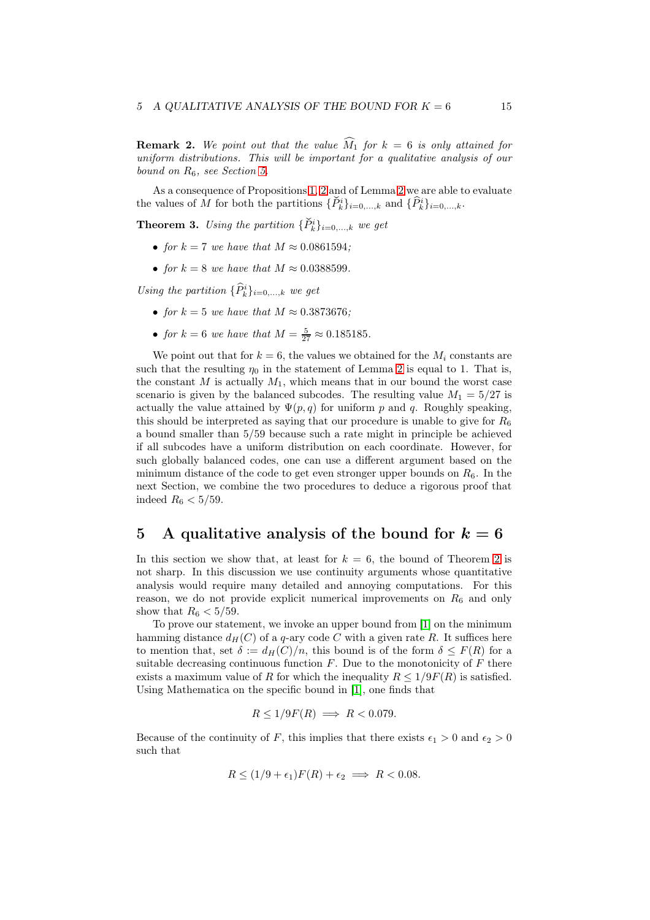<span id="page-14-2"></span>**Remark 2.** We point out that the value  $\widehat{M}_1$  for  $k = 6$  is only attained for uniform distributions. This will be important for a qualitative analysis of our bound on  $R_6$ , see Section [5.](#page-14-0)

As a consequence of Propositions [1,](#page-13-0) [2](#page-13-1) and of Lemma [2](#page-7-2) we are able to evaluate the values of M for both the partitions  $\{\tilde{P}_k^i\}_{i=0,\dots,k}$  and  $\{\tilde{P}_k^i\}_{i=0,\dots,k}$ .

<span id="page-14-1"></span>**Theorem 3.** Using the partition  $\{\check{P}_k^i\}_{i=0,\dots,k}$  we get

- for  $k = 7$  we have that  $M \approx 0.0861594$ ;
- for  $k = 8$  we have that  $M \approx 0.0388599$ .

Using the partition  $\{\widehat{P}_k^i\}_{i=0,\ldots,k}$  we get

- for  $k = 5$  we have that  $M \approx 0.3873676$ ;
- for  $k = 6$  we have that  $M = \frac{5}{27} \approx 0.185185$ .

We point out that for  $k = 6$ , the values we obtained for the  $M_i$  constants are such that the resulting  $\eta_0$  in the statement of Lemma [2](#page-7-2) is equal to 1. That is, the constant  $M$  is actually  $M_1$ , which means that in our bound the worst case scenario is given by the balanced subcodes. The resulting value  $M_1 = 5/27$  is actually the value attained by  $\Psi(p,q)$  for uniform p and q. Roughly speaking, this should be interpreted as saying that our procedure is unable to give for  $R_6$ a bound smaller than 5/59 because such a rate might in principle be achieved if all subcodes have a uniform distribution on each coordinate. However, for such globally balanced codes, one can use a different argument based on the minimum distance of the code to get even stronger upper bounds on  $R_6$ . In the next Section, we combine the two procedures to deduce a rigorous proof that indeed  $R_6 < 5/59$ .

# <span id="page-14-0"></span>5 A qualitative analysis of the bound for  $k = 6$

In this section we show that, at least for  $k = 6$ , the bound of Theorem [2](#page-7-1) is not sharp. In this discussion we use continuity arguments whose quantitative analysis would require many detailed and annoying computations. For this reason, we do not provide explicit numerical improvements on  $R_6$  and only show that  $R_6 < 5/59$ .

To prove our statement, we invoke an upper bound from [\[1\]](#page-17-14) on the minimum hamming distance  $d_H(C)$  of a q-ary code C with a given rate R. It suffices here to mention that, set  $\delta := d_H(C)/n$ , this bound is of the form  $\delta \leq F(R)$  for a suitable decreasing continuous function  $F$ . Due to the monotonicity of  $F$  there exists a maximum value of R for which the inequality  $R \leq 1/9F(R)$  is satisfied. Using Mathematica on the specific bound in [\[1\]](#page-17-14), one finds that

$$
R \le 1/9F(R) \implies R < 0.079.
$$

Because of the continuity of F, this implies that there exists  $\epsilon_1 > 0$  and  $\epsilon_2 > 0$ such that

$$
R \le (1/9 + \epsilon_1)F(R) + \epsilon_2 \implies R < 0.08.
$$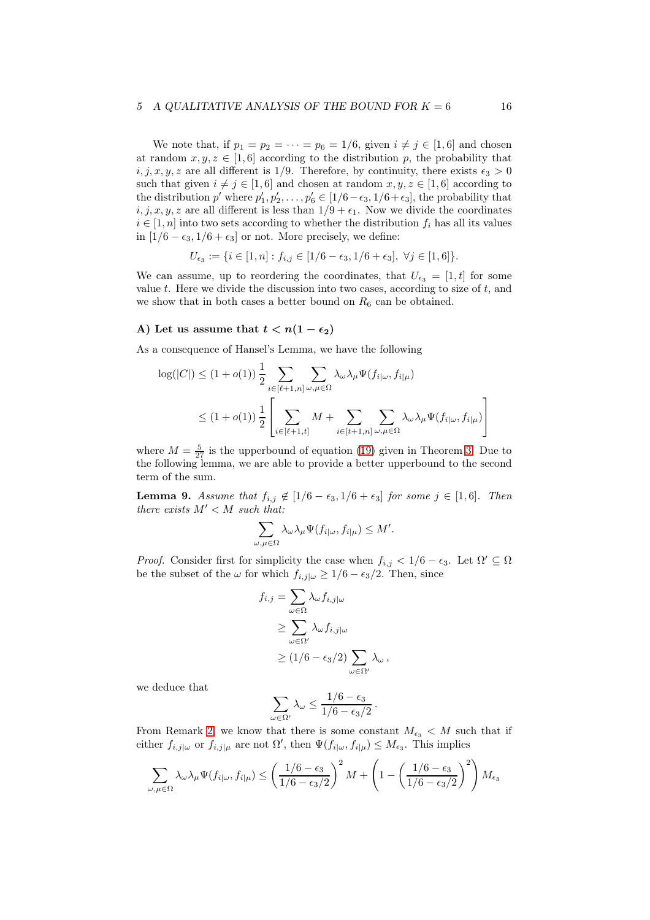### 5 A QUALITATIVE ANALYSIS OF THE BOUND FOR  $K = 6$  16

We note that, if  $p_1 = p_2 = \cdots = p_6 = 1/6$ , given  $i \neq j \in [1, 6]$  and chosen at random  $x, y, z \in [1, 6]$  according to the distribution p, the probability that  $i, j, x, y, z$  are all different is 1/9. Therefore, by continuity, there exists  $\epsilon_3 > 0$ such that given  $i \neq j \in [1, 6]$  and chosen at random  $x, y, z \in [1, 6]$  according to the distribution p' where  $p'_1, p'_2, \ldots, p'_6 \in [1/6 - \epsilon_3, 1/6 + \epsilon_3]$ , the probability that  $i, j, x, y, z$  are all different is less than  $1/9 + \epsilon_1$ . Now we divide the coordinates  $i \in [1, n]$  into two sets according to whether the distribution  $f_i$  has all its values in  $[1/6 - \epsilon_3, 1/6 + \epsilon_3]$  or not. More precisely, we define:

$$
U_{\epsilon_3} := \{ i \in [1, n] : f_{i,j} \in [1/6 - \epsilon_3, 1/6 + \epsilon_3], \ \forall j \in [1, 6] \}.
$$

We can assume, up to reordering the coordinates, that  $U_{\epsilon_3} = [1, t]$  for some value  $t$ . Here we divide the discussion into two cases, according to size of  $t$ , and we show that in both cases a better bound on  $R_6$  can be obtained.

## A) Let us assume that  $t < n(1 - \epsilon_2)$

As a consequence of Hansel's Lemma, we have the following

$$
\log(|C|) \le (1+o(1)) \frac{1}{2} \sum_{i \in [\ell+1,n]} \sum_{\omega,\mu \in \Omega} \lambda_{\omega} \lambda_{\mu} \Psi(f_{i|\omega}, f_{i|\mu})
$$
  

$$
\le (1+o(1)) \frac{1}{2} \left[ \sum_{i \in [\ell+1,t]} M + \sum_{i \in [t+1,n]} \sum_{\omega,\mu \in \Omega} \lambda_{\omega} \lambda_{\mu} \Psi(f_{i|\omega}, f_{i|\mu}) \right]
$$

where  $M = \frac{5}{27}$  is the upperbound of equation [\(19\)](#page-6-0) given in Theorem [3.](#page-14-1) Due to the following lemma, we are able to provide a better upperbound to the second term of the sum.

**Lemma 9.** Assume that  $f_{i,j} \notin [1/6 - \epsilon_3, 1/6 + \epsilon_3]$  for some  $j \in [1, 6]$ . Then there exists  $M' < M$  such that:

$$
\sum_{\omega,\mu \in \Omega} \lambda_{\omega} \lambda_{\mu} \Psi(f_{i|\omega}, f_{i|\mu}) \leq M'.
$$

*Proof.* Consider first for simplicity the case when  $f_{i,j} < 1/6 - \epsilon_3$ . Let  $\Omega' \subseteq \Omega$ be the subset of the  $\omega$  for which  $f_{i,j|\omega} \geq 1/6 - \epsilon_3/2$ . Then, since

$$
f_{i,j} = \sum_{\omega \in \Omega} \lambda_{\omega} f_{i,j|\omega}
$$
  
\n
$$
\geq \sum_{\omega \in \Omega'} \lambda_{\omega} f_{i,j|\omega}
$$
  
\n
$$
\geq (1/6 - \epsilon_3/2) \sum_{\omega \in \Omega'} \lambda_{\omega},
$$

we deduce that

$$
\sum_{\omega \in \Omega'} \lambda_{\omega} \le \frac{1/6 - \epsilon_3}{1/6 - \epsilon_3/2}.
$$

From Remark [2,](#page-14-2) we know that there is some constant  $M_{\epsilon_3} < M$  such that if either  $f_{i,j|\omega}$  or  $f_{i,j|\mu}$  are not  $\Omega'$ , then  $\Psi(f_{i|\omega}, f_{i|\mu}) \leq M_{\epsilon_3}$ . This implies

$$
\sum_{\omega,\mu \in \Omega} \lambda_{\omega} \lambda_{\mu} \Psi(f_{i|\omega}, f_{i|\mu}) \le \left(\frac{1/6 - \epsilon_3}{1/6 - \epsilon_3/2}\right)^2 M + \left(1 - \left(\frac{1/6 - \epsilon_3}{1/6 - \epsilon_3/2}\right)^2\right) M_{\epsilon_3}
$$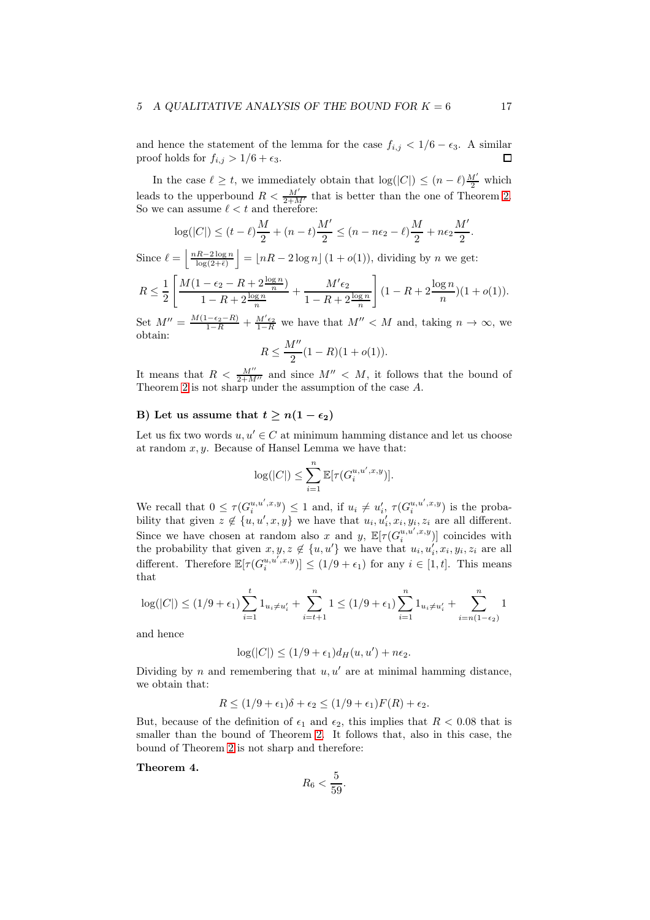#### 5 A QUALITATIVE ANALYSIS OF THE BOUND FOR  $K = 6$  17

and hence the statement of the lemma for the case  $f_{i,j} < 1/6 - \epsilon_3$ . A similar proof holds for  $f_{i,j} > 1/6 + \epsilon_3$ . proof holds for  $f_{i,j} > 1/6 + \epsilon_3$ .

In the case  $\ell \geq t$ , we immediately obtain that  $\log(|C|) \leq (n-\ell) \frac{M'}{2}$  which leads to the upperbound  $R < \frac{M'}{2+M'}$  that is better than the one of Theorem [2.](#page-7-1) So we can assume  $\ell < t$  and therefore:

$$
\log(|C|) \le (t - \ell)\frac{M}{2} + (n - t)\frac{M'}{2} \le (n - n\epsilon_2 - \ell)\frac{M}{2} + n\epsilon_2 \frac{M'}{2}.
$$

Since  $\ell = \left\lfloor \frac{nR-2\log n}{\log(2+\bar{\epsilon})} \right\rfloor$  $\vert = \lfloor nR - 2\log n \rfloor (1 + o(1)),$  dividing by n we get:

$$
R \le \frac{1}{2} \left[ \frac{M(1 - \epsilon_2 - R + 2\frac{\log n}{n})}{1 - R + 2\frac{\log n}{n}} + \frac{M'\epsilon_2}{1 - R + 2\frac{\log n}{n}} \right] (1 - R + 2\frac{\log n}{n}) (1 + o(1)).
$$

Set  $M'' = \frac{M(1-\epsilon_2-R)}{1-R} + \frac{M'\epsilon_2}{1-R}$  we have that  $M'' < M$  and, taking  $n \to \infty$ , we obtain:<br> $R \leq M''$ 

$$
R \le \frac{M''}{2}(1 - R)(1 + o(1)).
$$

It means that  $R < \frac{M''}{2+M''}$  and since  $M'' < M$ , it follows that the bound of Theorem [2](#page-7-1) is not sharp under the assumption of the case A.

## B) Let us assume that  $t > n(1 - \epsilon_2)$

Let us fix two words  $u, u' \in C$  at minimum hamming distance and let us choose at random  $x, y$ . Because of Hansel Lemma we have that:

$$
\log(|C|) \le \sum_{i=1}^n \mathbb{E}[\tau(G_i^{u,u',x,y})].
$$

We recall that  $0 \leq \tau(G_i^{u,u',x,y}) \leq 1$  and, if  $u_i \neq u'_i$ ,  $\tau(G_i^{u,u',x,y})$  is the probability that given  $z \notin \{u, u', x, y\}$  we have that  $u_i, u'_i, x_i, y_i, z_i$  are all different. Since we have chosen at random also x and y,  $\mathbb{E}[\tau(G_i^{u,u',x,y})]$  coincides with the probability that given  $x, y, z \notin \{u, u'\}$  we have that  $u_i, u'_i, x_i, y_i, z_i$  are all different. Therefore  $\mathbb{E}[\tau(G_i^{u,u',x,y})] \leq (1/9 + \epsilon_1)$  for any  $i \in [1, t]$ . This means that

$$
\log(|C|) \le (1/9 + \epsilon_1) \sum_{i=1}^t 1_{u_i \neq u'_i} + \sum_{i=t+1}^n 1 \le (1/9 + \epsilon_1) \sum_{i=1}^n 1_{u_i \neq u'_i} + \sum_{i=n(1-\epsilon_2)}^n 1
$$

and hence

$$
\log(|C|) \le (1/9 + \epsilon_1)d_H(u, u') + n\epsilon_2.
$$

Dividing by n and remembering that  $u, u'$  are at minimal hamming distance, we obtain that:

$$
R \le (1/9 + \epsilon_1)\delta + \epsilon_2 \le (1/9 + \epsilon_1)F(R) + \epsilon_2.
$$

But, because of the definition of  $\epsilon_1$  and  $\epsilon_2$ , this implies that  $R < 0.08$  that is smaller than the bound of Theorem [2.](#page-7-1) It follows that, also in this case, the bound of Theorem [2](#page-7-1) is not sharp and therefore:

Theorem 4.

$$
R_6 < \frac{5}{59}.
$$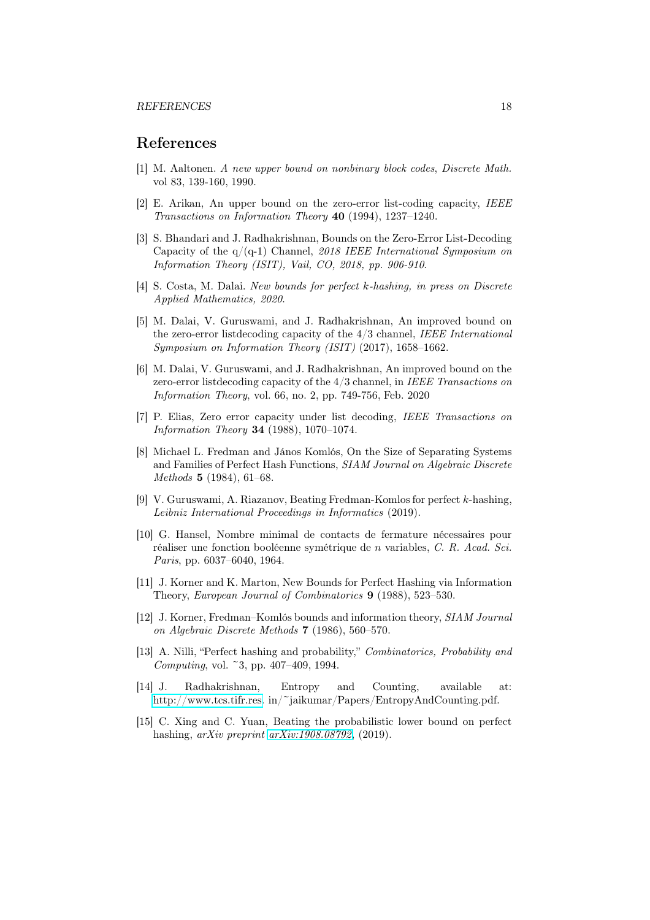#### REFERENCES 18

# <span id="page-17-14"></span>References

- <span id="page-17-7"></span>[1] M. Aaltonen. A new upper bound on nonbinary block codes, Discrete Math. vol 83, 139-160, 1990.
- <span id="page-17-4"></span>[2] E. Arikan, An upper bound on the zero-error list-coding capacity, IEEE Transactions on Information Theory 40 (1994), 1237–1240.
- [3] S. Bhandari and J. Radhakrishnan, Bounds on the Zero-Error List-Decoding Capacity of the  $q/(q-1)$  Channel, 2018 IEEE International Symposium on Information Theory (ISIT), Vail, CO, 2018, pp. 906-910.
- <span id="page-17-11"></span>[4] S. Costa, M. Dalai. New bounds for perfect k-hashing, in press on Discrete Applied Mathematics, 2020.
- <span id="page-17-8"></span>[5] M. Dalai, V. Guruswami, and J. Radhakrishnan, An improved bound on the zero-error listdecoding capacity of the 4/3 channel, IEEE International Symposium on Information Theory (ISIT) (2017), 1658–1662.
- <span id="page-17-9"></span>[6] M. Dalai, V. Guruswami, and J. Radhakrishnan, An improved bound on the zero-error listdecoding capacity of the 4/3 channel, in IEEE Transactions on Information Theory, vol. 66, no. 2, pp. 749-756, Feb. 2020
- <span id="page-17-0"></span>[7] P. Elias, Zero error capacity under list decoding, IEEE Transactions on Information Theory 34 (1988), 1070–1074.
- <span id="page-17-1"></span>[8] Michael L. Fredman and János Komlós, On the Size of Separating Systems and Families of Perfect Hash Functions, SIAM Journal on Algebraic Discrete Methods 5 (1984), 61–68.
- <span id="page-17-10"></span>[9] V. Guruswami, A. Riazanov, Beating Fredman-Komlos for perfect k-hashing, Leibniz International Proceedings in Informatics (2019).
- <span id="page-17-13"></span>[10] G. Hansel, Nombre minimal de contacts de fermature nécessaires pour réaliser une fonction booléenne symétrique de n variables, C. R. Acad. Sci. Paris, pp. 6037–6040, 1964.
- <span id="page-17-5"></span>[11] J. Korner and K. Marton, New Bounds for Perfect Hashing via Information Theory, European Journal of Combinatorics 9 (1988), 523-530.
- <span id="page-17-2"></span>[12] J. Korner, Fredman–Komlós bounds and information theory, SIAM Journal on Algebraic Discrete Methods 7 (1986), 560–570.
- <span id="page-17-3"></span>[13] A. Nilli, "Perfect hashing and probability," Combinatorics, Probability and Computing, vol. ~3, pp. 407–409, 1994.
- <span id="page-17-12"></span>[14] J. Radhakrishnan, Entropy and Counting, available at: [http://www.tcs.tifr.res.](http://www.tcs.tifr.res) in/~jaikumar/Papers/EntropyAndCounting.pdf.
- <span id="page-17-6"></span>[15] C. Xing and C. Yuan, Beating the probabilistic lower bound on perfect hashing, arXiv preprint [arXiv:1908.08792](http://arxiv.org/abs/1908.08792), (2019).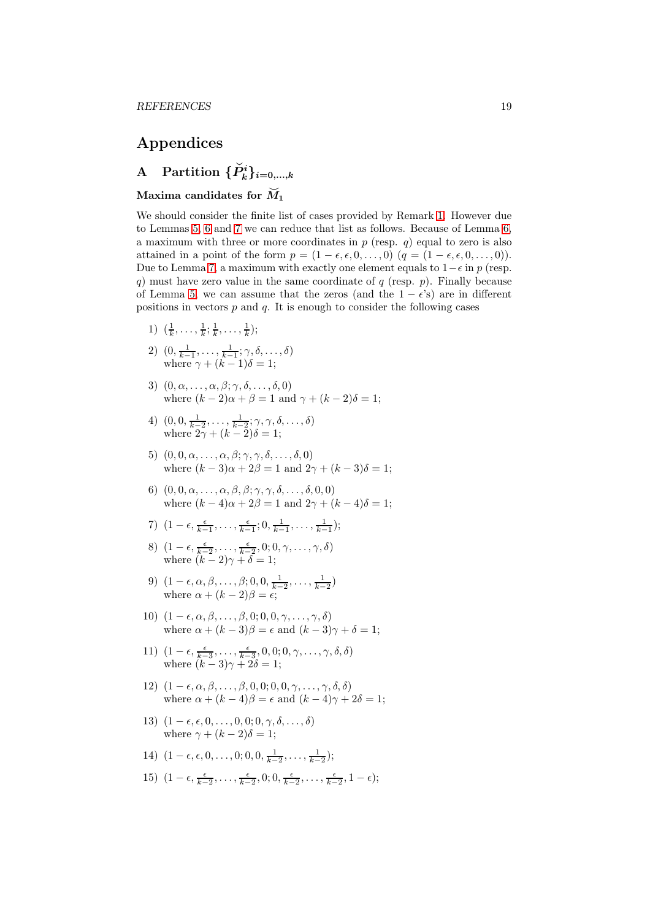# Appendices

# A Partition  $\{\check{P}_k^i\}_{i=0,\dots,k}$

## Maxima candidates for  $\widetilde{M}_1$

We should consider the finite list of cases provided by Remark [1.](#page-9-1) However due to Lemmas [5,](#page-10-2) [6](#page-10-3) and [7](#page-11-3) we can reduce that list as follows. Because of Lemma [6,](#page-10-3) a maximum with three or more coordinates in  $p$  (resp.  $q$ ) equal to zero is also attained in a point of the form  $p = (1 - \epsilon, \epsilon, 0, \ldots, 0)$   $(q = (1 - \epsilon, \epsilon, 0, \ldots, 0)).$ Due to Lemma [7,](#page-11-3) a maximum with exactly one element equals to  $1-\epsilon$  in p (resp. q) must have zero value in the same coordinate of q (resp.  $p$ ). Finally because of Lemma [5,](#page-10-2) we can assume that the zeros (and the  $1 - \epsilon$ 's) are in different positions in vectors  $p$  and  $q$ . It is enough to consider the following cases

- 1)  $(\frac{1}{k}, \ldots, \frac{1}{k}; \frac{1}{k}, \ldots, \frac{1}{k});$
- 2)  $(0, \frac{1}{k-1}, \ldots, \frac{1}{k-1}; \gamma, \delta, \ldots, \delta)$ where  $\gamma + (k-1)\delta = 1;$
- 3)  $(0, \alpha, \ldots, \alpha, \beta; \gamma, \delta, \ldots, \delta, 0)$ where  $(k-2)\alpha + \beta = 1$  and  $\gamma + (k-2)\delta = 1$ ;
- 4)  $(0, 0, \frac{1}{k-2}, \ldots, \frac{1}{k-2}; \gamma, \gamma, \delta, \ldots, \delta)$ where  $2\gamma + (k-2)\delta = 1;$
- 5)  $(0, 0, \alpha, \ldots, \alpha, \beta; \gamma, \gamma, \delta, \ldots, \delta, 0)$ where  $(k-3)\alpha + 2\beta = 1$  and  $2\gamma + (k-3)\delta = 1$ ;
- 6)  $(0, 0, \alpha, \ldots, \alpha, \beta, \beta; \gamma, \gamma, \delta, \ldots, \delta, 0, 0)$ where  $(k-4)\alpha + 2\beta = 1$  and  $2\gamma + (k-4)\delta = 1$ ;
- 7)  $(1 \epsilon, \frac{\epsilon}{k-1}, \ldots, \frac{\epsilon}{k-1}; 0, \frac{1}{k-1}, \ldots, \frac{1}{k-1});$
- 8)  $(1-\epsilon, \frac{\epsilon}{k-2}, \ldots, \frac{\epsilon}{k-2}, 0; 0, \gamma, \ldots, \gamma, \delta)$ where  $(k-2)\gamma + \delta = 1;$
- 9)  $(1 \epsilon, \alpha, \beta, \ldots, \beta; 0, 0, \frac{1}{k-2}, \ldots, \frac{1}{k-2})$ where  $\alpha + (k-2)\beta = \epsilon$ ;
- 10)  $(1 \epsilon, \alpha, \beta, \ldots, \beta, 0; 0, 0, \gamma, \ldots, \gamma, \delta)$ where  $\alpha + (k-3)\beta = \epsilon$  and  $(k-3)\gamma + \delta = 1$ ;
- 11)  $(1 \epsilon, \frac{\epsilon}{k-3}, \ldots, \frac{\epsilon}{k-3}, 0, 0, 0, \gamma, \ldots, \gamma, \delta, \delta)$ where  $(k-3)\gamma + 2\delta = 1;$
- 12)  $(1 \epsilon, \alpha, \beta, \ldots, \beta, 0, 0, 0, 0, \gamma, \ldots, \gamma, \delta, \delta)$ where  $\alpha + (k-4)\beta = \epsilon$  and  $(k-4)\gamma + 2\delta = 1$ ;
- 13)  $(1 \epsilon, \epsilon, 0, \ldots, 0, 0; 0, \gamma, \delta, \ldots, \delta)$ where  $\gamma + (k-2)\delta = 1$ ;
- 14)  $(1 \epsilon, \epsilon, 0, \ldots, 0; 0, 0, \frac{1}{k-2}, \ldots, \frac{1}{k-2});$
- 15)  $(1 \epsilon, \frac{\epsilon}{k-2}, \ldots, \frac{\epsilon}{k-2}, 0; 0, \frac{\epsilon}{k-2}, \ldots, \frac{\epsilon}{k-2}, 1 \epsilon);$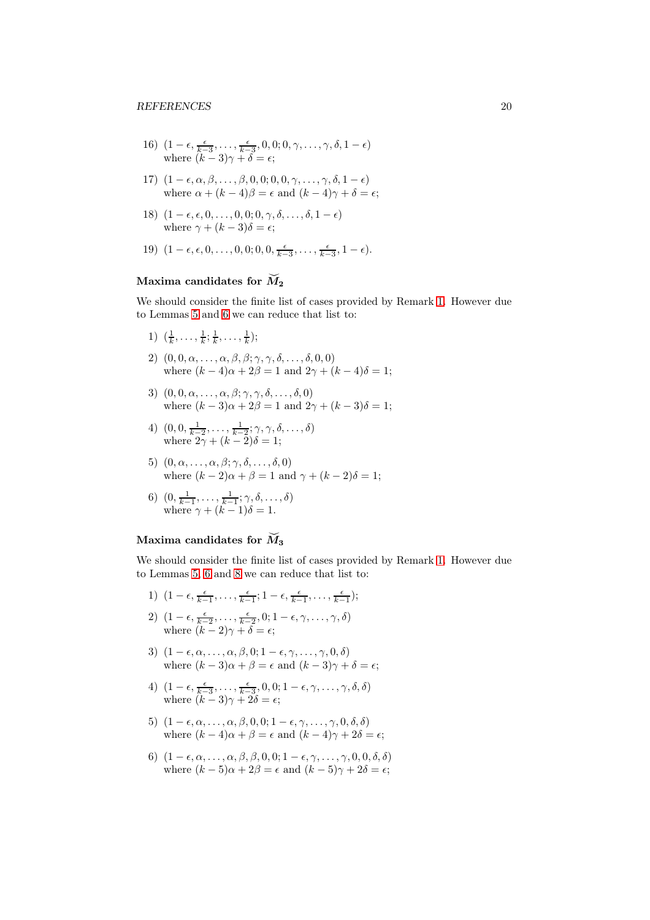- 16)  $(1 \epsilon, \frac{\epsilon}{k-3}, \ldots, \frac{\epsilon}{k-3}, 0, 0; 0, \gamma, \ldots, \gamma, \delta, 1 \epsilon)$ where  $(k-3)\gamma + \delta = \epsilon$ ;
- 17)  $(1 \epsilon, \alpha, \beta, \ldots, \beta, 0, 0, 0, 0, \gamma, \ldots, \gamma, \delta, 1 \epsilon)$ where  $\alpha + (k - 4)\beta = \epsilon$  and  $(k - 4)\gamma + \delta = \epsilon$ ;
- 18)  $(1 \epsilon, \epsilon, 0, \ldots, 0, 0; 0, \gamma, \delta, \ldots, \delta, 1 \epsilon)$ where  $\gamma + (k-3)\delta = \epsilon$ ;
- 19)  $(1 \epsilon, \epsilon, 0, \ldots, 0, 0; 0, 0, \frac{\epsilon}{k-3}, \ldots, \frac{\epsilon}{k-3}, 1 \epsilon).$

# Maxima candidates for  $\widetilde{M}_2$

We should consider the finite list of cases provided by Remark [1.](#page-9-1) However due to Lemmas [5](#page-10-2) and [6](#page-10-3) we can reduce that list to:

- 1)  $(\frac{1}{k}, \ldots, \frac{1}{k}; \frac{1}{k}, \ldots, \frac{1}{k});$
- 2)  $(0, 0, \alpha, \ldots, \alpha, \beta, \beta; \gamma, \gamma, \delta, \ldots, \delta, 0, 0)$ where  $(k-4)\alpha + 2\beta = 1$  and  $2\gamma + (k-4)\delta = 1$ ;
- 3)  $(0, 0, \alpha, \ldots, \alpha, \beta; \gamma, \gamma, \delta, \ldots, \delta, 0)$ where  $(k-3)\alpha + 2\beta = 1$  and  $2\gamma + (k-3)\delta = 1$ ;
- 4)  $(0, 0, \frac{1}{k-2}, \ldots, \frac{1}{k-2}; \gamma, \gamma, \delta, \ldots, \delta)$ where  $2\gamma + (k-2)\delta = 1;$
- 5)  $(0, \alpha, \ldots, \alpha, \beta; \gamma, \delta, \ldots, \delta, 0)$ where  $(k-2)\alpha + \beta = 1$  and  $\gamma + (k-2)\delta = 1$ ;
- 6)  $(0, \frac{1}{k-1}, \ldots, \frac{1}{k-1}; \gamma, \delta, \ldots, \delta)$ where  $\gamma + (k-1)\delta = 1$ .

## Maxima candidates for  $\tilde{M}_3$

We should consider the finite list of cases provided by Remark [1.](#page-9-1) However due to Lemmas [5,](#page-10-2) [6](#page-10-3) and [8](#page-12-5) we can reduce that list to:

- 1)  $(1 \epsilon, \frac{\epsilon}{k-1}, \ldots, \frac{\epsilon}{k-1}; 1 \epsilon, \frac{\epsilon}{k-1}, \ldots, \frac{\epsilon}{k-1});$ 2)  $(1-\epsilon, \frac{\epsilon}{k-2}, \ldots, \frac{\epsilon}{k-2}, 0; 1-\epsilon, \gamma, \ldots, \gamma, \delta)$
- where  $(k-2)\gamma + \delta = \epsilon$ ;
- 3)  $(1 \epsilon, \alpha, \ldots, \alpha, \beta, 0; 1 \epsilon, \gamma, \ldots, \gamma, 0, \delta)$ where  $(k-3)\alpha + \beta = \epsilon$  and  $(k-3)\gamma + \delta = \epsilon$ ;
- 4)  $(1 \epsilon, \frac{\epsilon}{k-3}, \ldots, \frac{\epsilon}{k-3}, 0, 0; 1 \epsilon, \gamma, \ldots, \gamma, \delta, \delta)$ where  $(k-3)\gamma + 2\delta = \epsilon$ ;
- 5)  $(1 \epsilon, \alpha, \ldots, \alpha, \beta, 0, 0; 1 \epsilon, \gamma, \ldots, \gamma, 0, \delta, \delta)$ where  $(k-4)\alpha + \beta = \epsilon$  and  $(k-4)\gamma + 2\delta = \epsilon$ ;
- 6)  $(1 \epsilon, \alpha, \ldots, \alpha, \beta, \beta, 0, 0; 1 \epsilon, \gamma, \ldots, \gamma, 0, 0, \delta, \delta)$ where  $(k-5)\alpha + 2\beta = \epsilon$  and  $(k-5)\gamma + 2\delta = \epsilon$ ;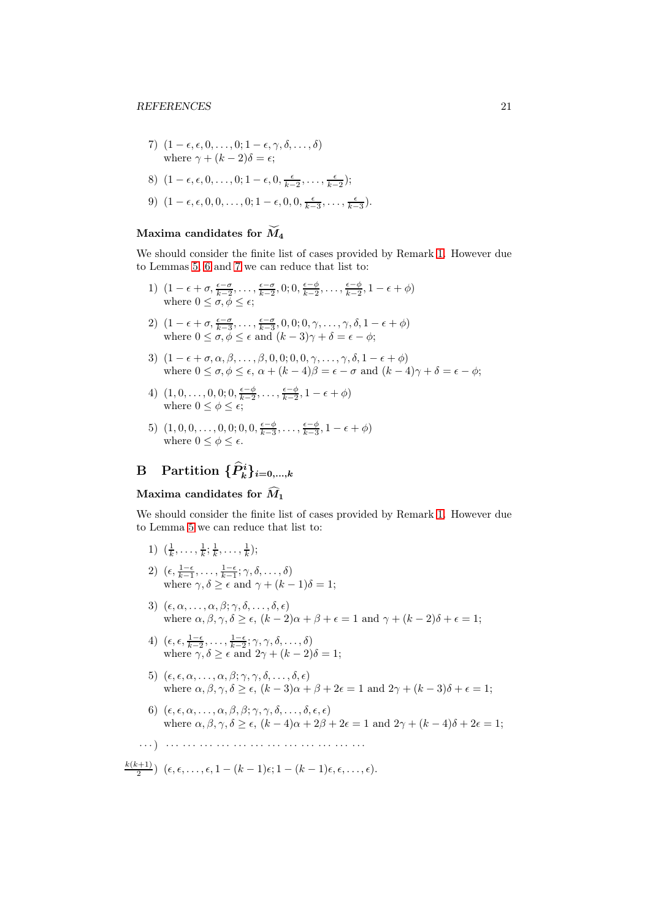7) 
$$
(1 - \epsilon, \epsilon, 0, \ldots, 0; 1 - \epsilon, \gamma, \delta, \ldots, \delta)
$$
  
where  $\gamma + (k - 2)\delta = \epsilon$ ;

8) 
$$
(1 - \epsilon, \epsilon, 0, \ldots, 0; 1 - \epsilon, 0, \frac{\epsilon}{k-2}, \ldots, \frac{\epsilon}{k-2});
$$

9) 
$$
(1 - \epsilon, \epsilon, 0, 0, \ldots, 0; 1 - \epsilon, 0, 0, \frac{\epsilon}{k-3}, \ldots, \frac{\epsilon}{k-3}).
$$

## Maxima candidates for  $\widetilde{M}_4$

We should consider the finite list of cases provided by Remark [1.](#page-9-1) However due to Lemmas [5,](#page-10-2) [6](#page-10-3) and [7](#page-11-3) we can reduce that list to:

- 1)  $(1 \epsilon + \sigma, \frac{\epsilon \sigma}{k-2}, \dots, \frac{\epsilon \sigma}{k-2}, 0; 0, \frac{\epsilon \phi}{k-2}, \dots, \frac{\epsilon \phi}{k-2}, 1 \epsilon + \phi)$ where  $0 \leq \sigma, \phi \leq \epsilon$ ;
- 2)  $(1 \epsilon + \sigma, \frac{\epsilon \sigma}{k 3}, \dots, \frac{\epsilon \sigma}{k 3}, 0, 0; 0, \gamma, \dots, \gamma, \delta, 1 \epsilon + \phi)$ where  $0 \le \sigma, \phi \le \epsilon$  and  $(k-3)\gamma + \delta = \epsilon - \phi$ ;
- 3)  $(1 \epsilon + \sigma, \alpha, \beta, \ldots, \beta, 0, 0, 0, 0, \gamma, \ldots, \gamma, \delta, 1 \epsilon + \phi)$ where  $0 \leq \sigma, \phi \leq \epsilon, \alpha + (k-4)\beta = \epsilon - \sigma$  and  $(k-4)\gamma + \delta = \epsilon - \phi;$
- 4)  $(1, 0, \ldots, 0, 0; 0, \frac{\epsilon \phi}{k 2}, \ldots, \frac{\epsilon \phi}{k 2}, 1 \epsilon + \phi)$ where  $0 \leq \phi \leq \epsilon$ ;
- 5)  $(1, 0, 0, \ldots, 0, 0; 0, 0, \frac{\epsilon \phi}{k 3}, \ldots, \frac{\epsilon \phi}{k 3}, 1 \epsilon + \phi)$ where  $0 \leq \phi \leq \epsilon$ .

# B Partition  $\{\widehat{P}_k^i\}_{i=0,\dots,k}$

## Maxima candidates for  $\widehat{M}_1$

We should consider the finite list of cases provided by Remark [1.](#page-9-1) However due to Lemma [5](#page-10-2) we can reduce that list to:

- 1)  $(\frac{1}{k}, \ldots, \frac{1}{k}; \frac{1}{k}, \ldots, \frac{1}{k});$
- 2)  $(\epsilon, \frac{1-\epsilon}{k-1}, \ldots, \frac{1-\epsilon}{k-1}; \gamma, \delta, \ldots, \delta)$ where  $\gamma, \delta \geq \epsilon$  and  $\gamma + (k-1)\delta = 1;$
- 3)  $(\epsilon, \alpha, \ldots, \alpha, \beta; \gamma, \delta, \ldots, \delta, \epsilon)$ where  $\alpha, \beta, \gamma, \delta \geq \epsilon$ ,  $(k-2)\alpha + \beta + \epsilon = 1$  and  $\gamma + (k-2)\delta + \epsilon = 1$ ;
- 4)  $(\epsilon, \epsilon, \frac{1-\epsilon}{k-2}, \ldots, \frac{1-\epsilon}{k-2}; \gamma, \gamma, \delta, \ldots, \delta)$ where  $\gamma, \delta \geq \epsilon$  and  $2\gamma + (k-2)\delta = 1;$
- 5)  $(\epsilon, \epsilon, \alpha, \ldots, \alpha, \beta; \gamma, \gamma, \delta, \ldots, \delta, \epsilon)$ where  $\alpha, \beta, \gamma, \delta \ge \epsilon$ ,  $(k-3)\alpha + \beta + 2\epsilon = 1$  and  $2\gamma + (k-3)\delta + \epsilon = 1$ ;
- 6)  $(\epsilon, \epsilon, \alpha, \ldots, \alpha, \beta, \beta; \gamma, \gamma, \delta, \ldots, \delta, \epsilon, \epsilon)$ where  $\alpha, \beta, \gamma, \delta > \epsilon$ ,  $(k-4)\alpha + 2\beta + 2\epsilon = 1$  and  $2\gamma + (k-4)\delta + 2\epsilon = 1$ ;
- · · ·) · · · · · · · · · · · · · · · · · · · · · · · · · · · · · · · · · · · ·
- $k(k+1)$  $\frac{(k+1)}{2}$   $(\epsilon, \epsilon, \ldots, \epsilon, 1-(k-1)\epsilon; 1-(k-1)\epsilon, \epsilon, \ldots, \epsilon).$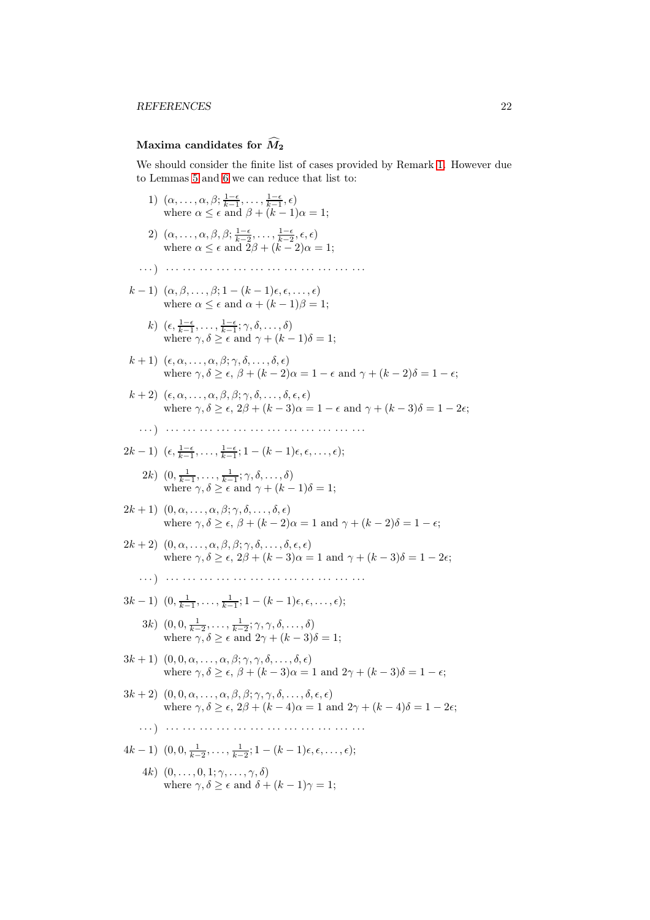## Maxima candidates for  $\widehat{M}_2$

We should consider the finite list of cases provided by Remark [1.](#page-9-1) However due to Lemmas [5](#page-10-2) and [6](#page-10-3) we can reduce that list to:

- 1)  $(\alpha, \ldots, \alpha, \beta; \frac{1-\epsilon}{k-1}, \ldots, \frac{1-\epsilon}{k-1}, \epsilon)$ where  $\alpha \leq \epsilon$  and  $\beta + (k-1)\alpha = 1;$
- 2)  $(\alpha, \ldots, \alpha, \beta, \beta; \frac{1-\epsilon}{k-2}, \ldots, \frac{1-\epsilon}{k-2}, \epsilon, \epsilon)$ where  $\alpha \leq \epsilon$  and  $2\beta + (k-2)\alpha = 1;$
- · · ·) · · · · · · · · · · · · · · · · · · · · · · · · · · · · · · · · · · · ·
- $(k-1)$   $(\alpha, \beta, \ldots, \beta; 1-(k-1)\epsilon, \epsilon, \ldots, \epsilon)$ where  $\alpha \leq \epsilon$  and  $\alpha + (k-1)\beta = 1$ ;
	- k)  $(\epsilon, \frac{1-\epsilon}{k-1}, \ldots, \frac{1-\epsilon}{k-1}; \gamma, \delta, \ldots, \delta)$ where  $\gamma, \delta \geq \epsilon$  and  $\gamma + (k-1)\delta = 1;$
- $(k+1)$   $(\epsilon, \alpha, \ldots, \alpha, \beta; \gamma, \delta, \ldots, \delta, \epsilon)$ where  $\gamma, \delta \geq \epsilon, \beta + (k - 2)\alpha = 1 - \epsilon$  and  $\gamma + (k - 2)\delta = 1 - \epsilon$ ;
- $(k+2)$   $(\epsilon, \alpha, \ldots, \alpha, \beta, \beta; \gamma, \delta, \ldots, \delta, \epsilon, \epsilon)$ where  $\gamma, \delta \geq \epsilon, 2\beta + (k-3)\alpha = 1 - \epsilon$  and  $\gamma + (k-3)\delta = 1 - 2\epsilon$ ;
- · · ·) · · · · · · · · · · · · · · · · · · · · · · · · · · · · · · · · · · · ·

$$
2k-1\big) \ (\epsilon, \tfrac{1-\epsilon}{k-1}, \ldots, \tfrac{1-\epsilon}{k-1}; 1-(k-1)\epsilon, \epsilon, \ldots, \epsilon);
$$

- 2k)  $(0, \frac{1}{k-1}, \ldots, \frac{1}{k-1}; \gamma, \delta, \ldots, \delta)$ where  $\gamma, \delta \geq \epsilon$  and  $\gamma + (k-1)\delta = 1;$
- $(2k+1)$   $(0, \alpha, \ldots, \alpha, \beta; \gamma, \delta, \ldots, \delta, \epsilon)$ where  $\gamma, \delta \geq \epsilon, \beta + (k - 2)\alpha = 1$  and  $\gamma + (k - 2)\delta = 1 - \epsilon$ ;
- $2k + 2)$   $(0, \alpha, \ldots, \alpha, \beta, \beta; \gamma, \delta, \ldots, \delta, \epsilon, \epsilon)$ where  $\gamma, \delta > \epsilon, 2\beta + (k-3)\alpha = 1$  and  $\gamma + (k-3)\delta = 1 - 2\epsilon$ ;
	- · · ·) · · · · · · · · · · · · · · · · · · · · · · · · · · · · · · · · · · · ·
- $3k-1)$   $(0, \frac{1}{k-1}, \ldots, \frac{1}{k-1}; 1-(k-1)\epsilon, \epsilon, \ldots, \epsilon);$ 
	- 3k)  $(0, 0, \frac{1}{k-2}, \ldots, \frac{1}{k-2}; \gamma, \gamma, \delta, \ldots, \delta)$ where  $\gamma, \delta \geq \epsilon$  and  $2\gamma + (k-3)\delta = 1$ ;
- $3k+1)$   $(0, 0, \alpha, \ldots, \alpha, \beta; \gamma, \gamma, \delta, \ldots, \delta, \epsilon)$ where  $\gamma, \delta \geq \epsilon, \beta + (k-3)\alpha = 1$  and  $2\gamma + (k-3)\delta = 1 - \epsilon$ ;
- $3k+2)$   $(0, 0, \alpha, \ldots, \alpha, \beta, \beta; \gamma, \gamma, \delta, \ldots, \delta, \epsilon, \epsilon)$ where  $\gamma, \delta \geq \epsilon$ ,  $2\beta + (k - 4)\alpha = 1$  and  $2\gamma + (k - 4)\delta = 1 - 2\epsilon$ ;
	- · · ·) · · · · · · · · · · · · · · · · · · · · · · · · · · · · · · · · · · · ·
- $4k-1)$   $(0, 0, \frac{1}{k-2}, \ldots, \frac{1}{k-2}; 1-(k-1)\epsilon, \epsilon, \ldots, \epsilon);$ 
	- 4k)  $(0, \ldots, 0, 1; \gamma, \ldots, \gamma, \delta)$ where  $\gamma, \delta > \epsilon$  and  $\delta + (k-1)\gamma = 1$ ;